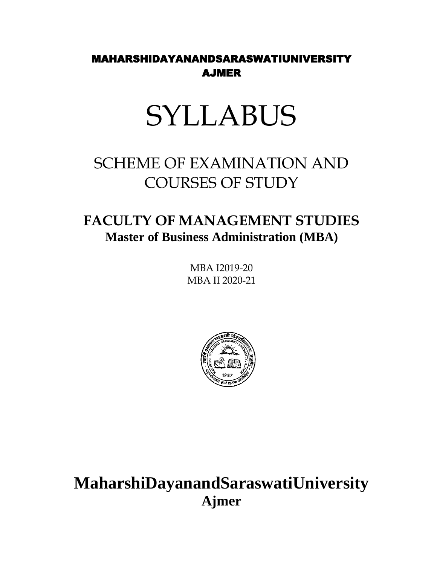### MAHARSHIDAYANANDSARASWATIUNIVERSITY AJMER

# SYLLABUS

# SCHEME OF EXAMINATION AND COURSES OF STUDY

### **FACULTY OF MANAGEMENT STUDIES Master of Business Administration (MBA)**

MBA I2019-20 MBA II 2020-21



# **MaharshiDayanandSaraswatiUniversity Ajmer**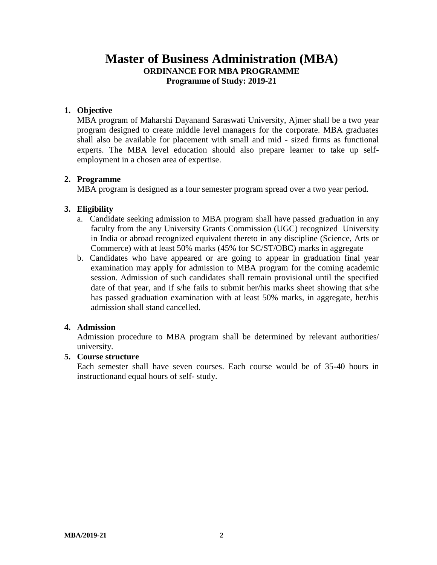#### **Master of Business Administration (MBA) ORDINANCE FOR MBA PROGRAMME Programme of Study: 2019-21**

#### **1. Objective**

MBA program of Maharshi Dayanand Saraswati University, Ajmer shall be a two year program designed to create middle level managers for the corporate. MBA graduates shall also be available for placement with small and mid - sized firms as functional experts. The MBA level education should also prepare learner to take up selfemployment in a chosen area of expertise.

#### **2. Programme**

MBA program is designed as a four semester program spread over a two year period.

#### **3. Eligibility**

- a. Candidate seeking admission to MBA program shall have passed graduation in any faculty from the any University Grants Commission (UGC) recognized University in India or abroad recognized equivalent thereto in any discipline (Science, Arts or Commerce) with at least 50% marks (45% for SC/ST/OBC) marks in aggregate
- b. Candidates who have appeared or are going to appear in graduation final year examination may apply for admission to MBA program for the coming academic session. Admission of such candidates shall remain provisional until the specified date of that year, and if s/he fails to submit her/his marks sheet showing that s/he has passed graduation examination with at least 50% marks, in aggregate, her/his admission shall stand cancelled.

#### **4. Admission**

Admission procedure to MBA program shall be determined by relevant authorities/ university.

#### **5. Course structure**

Each semester shall have seven courses. Each course would be of 35-40 hours in instructionand equal hours of self- study.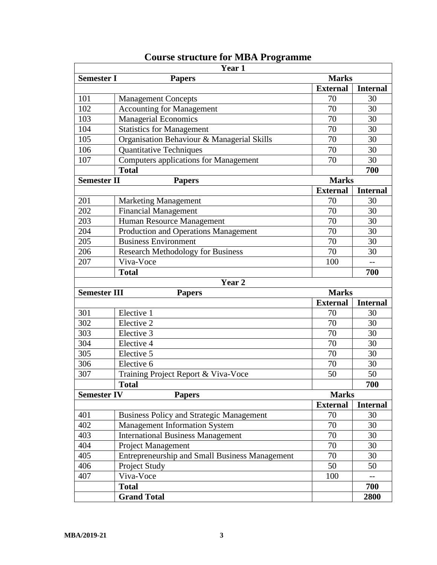|                     | Year 1                                                |                 |                 |
|---------------------|-------------------------------------------------------|-----------------|-----------------|
| <b>Semester I</b>   | <b>Papers</b>                                         | <b>Marks</b>    |                 |
|                     |                                                       | <b>External</b> | <b>Internal</b> |
| 101                 | <b>Management Concepts</b>                            | 70              | 30              |
| 102                 | <b>Accounting for Management</b>                      | 70              | 30              |
| 103                 | <b>Managerial Economics</b>                           | 70              | 30              |
| 104                 | <b>Statistics for Management</b>                      | 70              | 30              |
| 105                 | Organisation Behaviour & Managerial Skills            | 70              | 30              |
| 106                 | <b>Quantitative Techniques</b>                        | 70              | 30              |
| 107                 | <b>Computers applications for Management</b>          | 70              | 30              |
|                     | <b>Total</b>                                          |                 | 700             |
| <b>Semester II</b>  | <b>Papers</b>                                         | <b>Marks</b>    |                 |
|                     |                                                       | <b>External</b> | <b>Internal</b> |
| 201                 | <b>Marketing Management</b>                           | 70              | 30              |
| 202                 | <b>Financial Management</b>                           | 70              | 30              |
| 203                 | Human Resource Management                             | 70              | 30              |
| 204                 | Production and Operations Management                  | 70              | 30              |
| 205                 | <b>Business Environment</b>                           | 70              | 30              |
| 206                 | <b>Research Methodology for Business</b>              | 70              | 30              |
| 207                 | Viva-Voce                                             | 100             | $-$             |
|                     | <b>Total</b>                                          |                 | 700             |
|                     | Year 2                                                |                 |                 |
| <b>Semester III</b> | <b>Papers</b>                                         | <b>Marks</b>    |                 |
|                     |                                                       | <b>External</b> | <b>Internal</b> |
| 301                 | Elective 1                                            | 70              | 30              |
| 302                 | Elective 2                                            | 70              | 30              |
| 303                 | Elective 3                                            | 70              | 30              |
| 304                 | Elective 4                                            | 70              | 30              |
| 305                 | Elective 5                                            | 70              | 30              |
| 306                 | Elective 6                                            | 70              | 30              |
| 307                 | Training Project Report & Viva-Voce                   | 50              | 50              |
|                     | <b>Total</b>                                          |                 | 700             |
| <b>Semester IV</b>  | <b>Papers</b>                                         | <b>Marks</b>    |                 |
|                     |                                                       | <b>External</b> | <b>Internal</b> |
| 401                 | <b>Business Policy and Strategic Management</b>       | 70              | 30              |
| 402                 | <b>Management Information System</b>                  | 70              | 30              |
| 403                 | <b>International Business Management</b>              | 70              | 30              |
| 404                 | <b>Project Management</b>                             | 70              | 30              |
| 405                 | <b>Entrepreneurship and Small Business Management</b> | 70              | 30              |
| 406                 | Project Study                                         | 50              | 50              |
| 407                 | Viva-Voce                                             | 100             | $-$             |
|                     | <b>Total</b>                                          |                 | 700             |
|                     | <b>Grand Total</b>                                    |                 | 2800            |

### **Course structure for MBA Programme**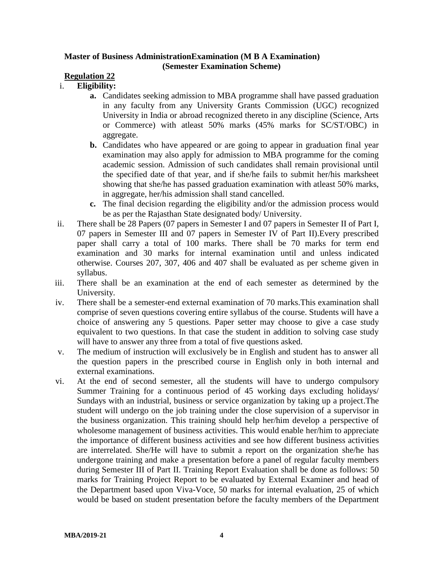#### **Master of Business AdministrationExamination (M B A Examination) (Semester Examination Scheme)**

#### **Regulation 22**

#### i. **Eligibility:**

- **a.** Candidates seeking admission to MBA programme shall have passed graduation in any faculty from any University Grants Commission (UGC) recognized University in India or abroad recognized thereto in any discipline (Science, Arts or Commerce) with atleast 50% marks (45% marks for SC/ST/OBC) in aggregate.
- **b.** Candidates who have appeared or are going to appear in graduation final year examination may also apply for admission to MBA programme for the coming academic session. Admission of such candidates shall remain provisional until the specified date of that year, and if she/he fails to submit her/his marksheet showing that she/he has passed graduation examination with atleast 50% marks, in aggregate, her/his admission shall stand cancelled.
- **c.** The final decision regarding the eligibility and/or the admission process would be as per the Rajasthan State designated body/ University.
- ii. There shall be 28 Papers (07 papers in Semester I and 07 papers in Semester II of Part I, 07 papers in Semester III and 07 papers in Semester IV of Part II).Every prescribed paper shall carry a total of 100 marks. There shall be 70 marks for term end examination and 30 marks for internal examination until and unless indicated otherwise. Courses 207, 307, 406 and 407 shall be evaluated as per scheme given in syllabus.
- iii. There shall be an examination at the end of each semester as determined by the University.
- iv. There shall be a semester-end external examination of 70 marks.This examination shall comprise of seven questions covering entire syllabus of the course. Students will have a choice of answering any 5 questions. Paper setter may choose to give a case study equivalent to two questions. In that case the student in addition to solving case study will have to answer any three from a total of five questions asked.
- v. The medium of instruction will exclusively be in English and student has to answer all the question papers in the prescribed course in English only in both internal and external examinations.
- vi. At the end of second semester, all the students will have to undergo compulsory Summer Training for a continuous period of 45 working days excluding holidays/ Sundays with an industrial, business or service organization by taking up a project.The student will undergo on the job training under the close supervision of a supervisor in the business organization. This training should help her/him develop a perspective of wholesome management of business activities. This would enable her/him to appreciate the importance of different business activities and see how different business activities are interrelated. She/He will have to submit a report on the organization she/he has undergone training and make a presentation before a panel of regular faculty members during Semester III of Part II. Training Report Evaluation shall be done as follows: 50 marks for Training Project Report to be evaluated by External Examiner and head of the Department based upon Viva-Voce, 50 marks for internal evaluation, 25 of which would be based on student presentation before the faculty members of the Department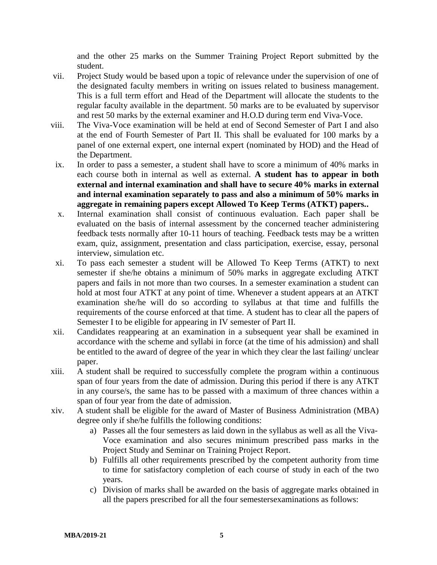and the other 25 marks on the Summer Training Project Report submitted by the student.

- vii. Project Study would be based upon a topic of relevance under the supervision of one of the designated faculty members in writing on issues related to business management. This is a full term effort and Head of the Department will allocate the students to the regular faculty available in the department. 50 marks are to be evaluated by supervisor and rest 50 marks by the external examiner and H.O.D during term end Viva-Voce.
- viii. The Viva-Voce examination will be held at end of Second Semester of Part I and also at the end of Fourth Semester of Part II. This shall be evaluated for 100 marks by a panel of one external expert, one internal expert (nominated by HOD) and the Head of the Department.
- ix. In order to pass a semester, a student shall have to score a minimum of 40% marks in each course both in internal as well as external. **A student has to appear in both external and internal examination and shall have to secure 40% marks in external and internal examination separately to pass and also a minimum of 50% marks in aggregate in remaining papers except Allowed To Keep Terms (ATKT) papers..**
- x. Internal examination shall consist of continuous evaluation. Each paper shall be evaluated on the basis of internal assessment by the concerned teacher administering feedback tests normally after 10-11 hours of teaching. Feedback tests may be a written exam, quiz, assignment, presentation and class participation, exercise, essay, personal interview, simulation etc.
- xi. To pass each semester a student will be Allowed To Keep Terms (ATKT) to next semester if she/he obtains a minimum of 50% marks in aggregate excluding ATKT papers and fails in not more than two courses. In a semester examination a student can hold at most four ATKT at any point of time. Whenever a student appears at an ATKT examination she/he will do so according to syllabus at that time and fulfills the requirements of the course enforced at that time. A student has to clear all the papers of Semester I to be eligible for appearing in IV semester of Part II.
- xii. Candidates reappearing at an examination in a subsequent year shall be examined in accordance with the scheme and syllabi in force (at the time of his admission) and shall be entitled to the award of degree of the year in which they clear the last failing/ unclear paper.
- xiii. A student shall be required to successfully complete the program within a continuous span of four years from the date of admission. During this period if there is any ATKT in any course/s, the same has to be passed with a maximum of three chances within a span of four year from the date of admission.
- xiv. A student shall be eligible for the award of Master of Business Administration (MBA) degree only if she/he fulfills the following conditions:
	- a) Passes all the four semesters as laid down in the syllabus as well as all the Viva-Voce examination and also secures minimum prescribed pass marks in the Project Study and Seminar on Training Project Report.
	- b) Fulfills all other requirements prescribed by the competent authority from time to time for satisfactory completion of each course of study in each of the two years.
	- c) Division of marks shall be awarded on the basis of aggregate marks obtained in all the papers prescribed for all the four semestersexaminations as follows: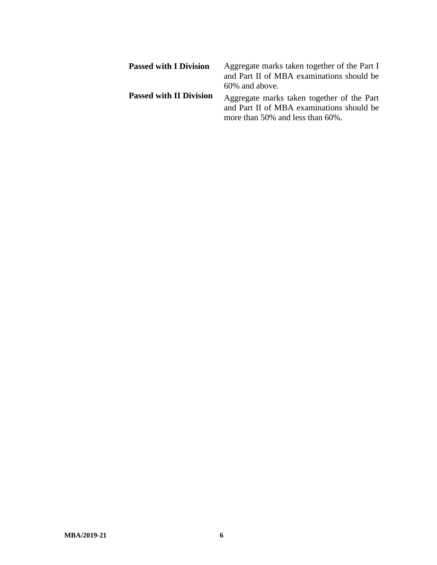| <b>Passed with I Division</b>  | Aggregate marks taken together of the Part I<br>and Part II of MBA examinations should be<br>60% and above.                 |
|--------------------------------|-----------------------------------------------------------------------------------------------------------------------------|
| <b>Passed with II Division</b> | Aggregate marks taken together of the Part<br>and Part II of MBA examinations should be<br>more than 50% and less than 60%. |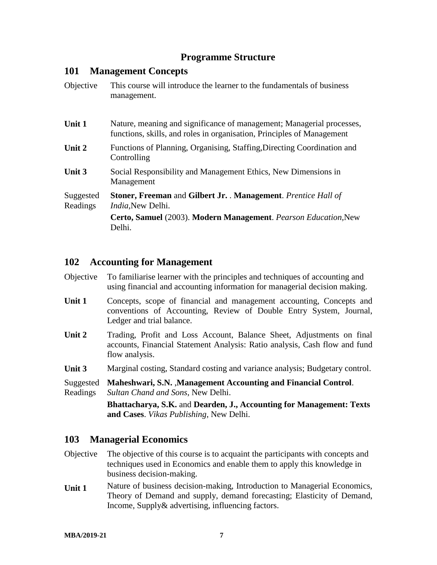#### **Programme Structure**

#### **101 Management Concepts**

| Objective             | This course will introduce the learner to the fundamentals of business<br>management.                                                           |
|-----------------------|-------------------------------------------------------------------------------------------------------------------------------------------------|
| Unit 1                | Nature, meaning and significance of management; Managerial processes,<br>functions, skills, and roles in organisation, Principles of Management |
| Unit 2                | Functions of Planning, Organising, Staffing, Directing Coordination and<br>Controlling                                                          |
| Unit 3                | Social Responsibility and Management Ethics, New Dimensions in<br>Management                                                                    |
| Suggested<br>Readings | <b>Stoner, Freeman and Gilbert Jr. . Management.</b> Prentice Hall of<br><i>India</i> , New Delhi.                                              |
|                       | Certo, Samuel (2003). Modern Management. Pearson Education, New<br>Delhi.                                                                       |

#### **102 Accounting for Management**

| Objective To familiarise learner with the principles and techniques of accounting and |
|---------------------------------------------------------------------------------------|
| using financial and accounting information for managerial decision making.            |

- Unit 1 Concepts, scope of financial and management accounting, Concepts and conventions of Accounting, Review of Double Entry System, Journal, Ledger and trial balance.
- **Unit 2** Trading, Profit and Loss Account, Balance Sheet, Adjustments on final accounts, Financial Statement Analysis: Ratio analysis, Cash flow and fund flow analysis.
- Unit 3 Marginal costing, Standard costing and variance analysis; Budgetary control.
- Suggested Readings **Maheshwari, S.N.** ,**Management Accounting and Financial Control**. *Sultan Chand and Sons*, New Delhi.

**Bhattacharya, S.K.** and **Dearden, J., Accounting for Management: Texts and Cases**. *Vikas Publishing*, New Delhi.

#### **103 Managerial Economics**

- Objective The objective of this course is to acquaint the participants with concepts and techniques used in Economics and enable them to apply this knowledge in business decision-making.
- **Unit 1** Nature of business decision-making, Introduction to Managerial Economics, Theory of Demand and supply, demand forecasting; Elasticity of Demand, Income, Supply& advertising, influencing factors.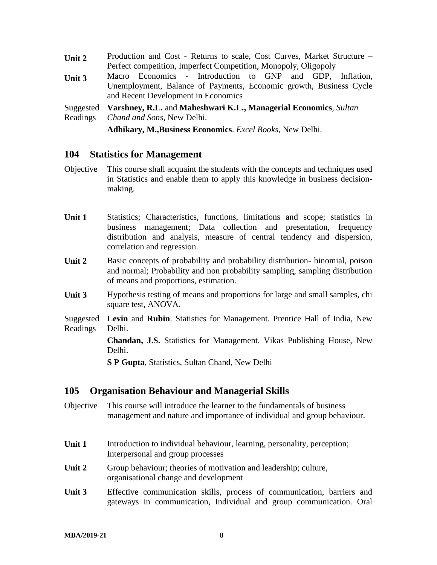| Unit 2 | Production and Cost - Returns to scale, Cost Curves, Market Structure – |  |  |  |  |
|--------|-------------------------------------------------------------------------|--|--|--|--|
|        | Perfect competition, Imperfect Competition, Monopoly, Oligopoly         |  |  |  |  |
| Unit 3 | Macro Economics - Introduction to GNP and GDP, Inflation,               |  |  |  |  |

Unemployment, Balance of Payments, Economic growth, Business Cycle and Recent Development in Economics

**Suggested** Readings **Varshney, R.L.** and **Maheshwari K.L., Managerial Economics**, *Sultan Chand and Sons*, New Delhi.

**Adhikary, M.,Business Economics**. *Excel Books*, New Delhi.

#### **104 Statistics for Management**

- Objective This course shall acquaint the students with the concepts and techniques used in Statistics and enable them to apply this knowledge in business decisionmaking.
- **Unit 1** Statistics; Characteristics, functions, limitations and scope; statistics in business management; Data collection and presentation, frequency distribution and analysis, measure of central tendency and dispersion, correlation and regression.
- **Unit 2** Basic concepts of probability and probability distribution- binomial, poison and normal; Probability and non probability sampling, sampling distribution of means and proportions, estimation.
- Unit 3 Hypothesis testing of means and proportions for large and small samples, chi square test, ANOVA.

Suggested Readings **Levin** and **Rubin**. Statistics for Management. Prentice Hall of India, New Delhi.

> **Chandan, J.S.** Statistics for Management. Vikas Publishing House, New Delhi.

**S P Gupta**, Statistics, Sultan Chand, New Delhi

#### **105 Organisation Behaviour and Managerial Skills**

- Objective This course will introduce the learner to the fundamentals of business management and nature and importance of individual and group behaviour.
- **Unit 1** Introduction to individual behaviour, learning, personality, perception; Interpersonal and group processes
- Unit 2 Group behaviour; theories of motivation and leadership; culture, organisational change and development
- **Unit 3** Effective communication skills, process of communication, barriers and gateways in communication, Individual and group communication. Oral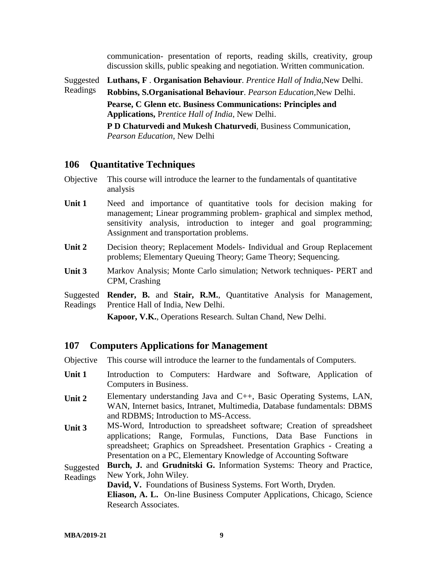communication- presentation of reports, reading skills, creativity, group discussion skills, public speaking and negotiation. Written communication.

Suggested **Luthans, F** . **Organisation Behaviour**. *Prentice Hall of India,*New Delhi.

Readings **Robbins, S.Organisational Behaviour**. *Pearson Education,*New Delhi. **Pearse, C Glenn etc. Business Communications: Principles and Applications,** P*rentice Hall of India*, New Delhi. **P D Chaturvedi and Mukesh Chaturvedi**, Business Communication,

*Pearson Education*, New Delhi

#### **106 Quantitative Techniques**

- Objective This course will introduce the learner to the fundamentals of quantitative analysis
- Unit 1 Need and importance of quantitative tools for decision making for management; Linear programming problem- graphical and simplex method, sensitivity analysis, introduction to integer and goal programming; Assignment and transportation problems.
- **Unit 2** Decision theory; Replacement Models- Individual and Group Replacement problems; Elementary Queuing Theory; Game Theory; Sequencing.
- **Unit 3** Markov Analysis; Monte Carlo simulation; Network techniques- PERT and CPM, Crashing

Suggested **Render, B.** and **Stair, R.M.**, Quantitative Analysis for Management, Readings Prentice Hall of India, New Delhi.

**Kapoor, V.K.**, Operations Research. Sultan Chand, New Delhi.

#### **107 Computers Applications for Management**

Objective This course will introduce the learner to the fundamentals of Computers.

- Unit 1 Introduction to Computers: Hardware and Software, Application of Computers in Business.
- **Unit 2** Elementary understanding Java and C++, Basic Operating Systems, LAN, WAN, Internet basics, Intranet, Multimedia, Database fundamentals: DBMS and RDBMS; Introduction to MS-Access.
- **Unit 3** MS-Word, Introduction to spreadsheet software; Creation of spreadsheet applications; Range, Formulas, Functions, Data Base Functions in spreadsheet; Graphics on Spreadsheet. Presentation Graphics - Creating a Presentation on a PC, Elementary Knowledge of Accounting Software

Suggested Readings **Burch, J.** and **Grudnitski G.** Information Systems: Theory and Practice, New York, John Wiley.

**David, V.** Foundations of Business Systems. Fort Worth, Dryden.

**Eliason, A. L.** On-line Business Computer Applications, Chicago, Science Research Associates.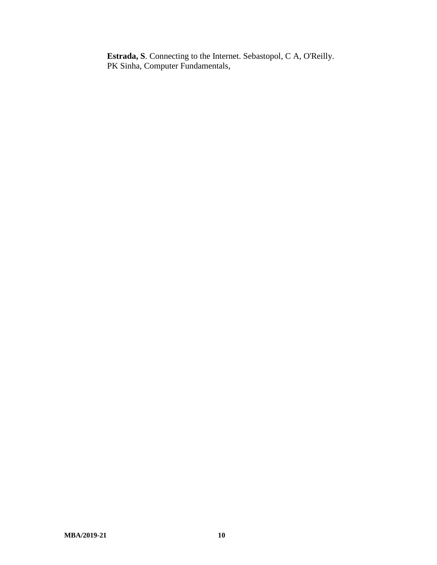**Estrada, S**. Connecting to the Internet. Sebastopol, C A, O'Reilly. PK Sinha, Computer Fundamentals,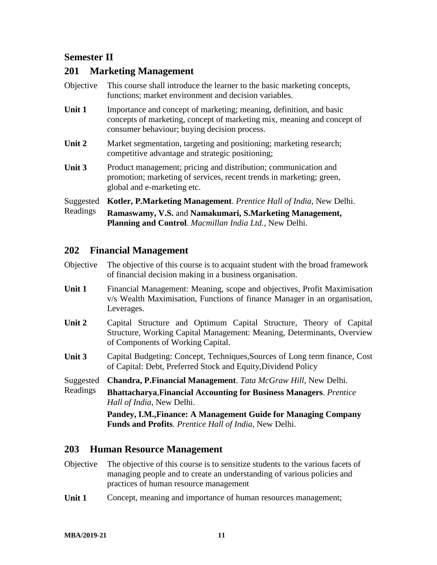#### **Semester II**

#### **201 Marketing Management**

| Objective | This course shall introduce the learner to the basic marketing concepts,<br>functions; market environment and decision variables.                                                              |
|-----------|------------------------------------------------------------------------------------------------------------------------------------------------------------------------------------------------|
| Unit 1    | Importance and concept of marketing; meaning, definition, and basic<br>concepts of marketing, concept of marketing mix, meaning and concept of<br>consumer behaviour; buying decision process. |
| Unit 2    | Market segmentation, targeting and positioning; marketing research;<br>competitive advantage and strategic positioning;                                                                        |
| Unit 3    | Product management; pricing and distribution; communication and<br>promotion; marketing of services, recent trends in marketing; green,<br>global and e-marketing etc.                         |
| Suggested | Kotler, P.Marketing Management. Prentice Hall of India, New Delhi.                                                                                                                             |
| Readings  | Ramaswamy, V.S. and Namakumari, S.Marketing Management,<br><b>Planning and Control.</b> Macmillan India Ltd., New Delhi.                                                                       |

#### **202 Financial Management**

| Objective The objective of this course is to acquaint student with the broad framework |
|----------------------------------------------------------------------------------------|
| of financial decision making in a business organisation.                               |

- **Unit 1** Financial Management: Meaning, scope and objectives, Profit Maximisation v/s Wealth Maximisation, Functions of finance Manager in an organisation, Leverages.
- **Unit 2** Capital Structure and Optimum Capital Structure, Theory of Capital Structure, Working Capital Management: Meaning, Determinants, Overview of Components of Working Capital.
- **Unit 3** Capital Budgeting: Concept, Techniques,Sources of Long term finance, Cost of Capital: Debt, Preferred Stock and Equity,Dividend Policy
- Suggested **Chandra, P.Financial Management**. *Tata McGraw Hill*, New Delhi.
- Readings **Bhattacharya**,**Financial Accounting for Business Managers**. *Prentice Hall of India*, New Delhi.

**Pandey, I.M.,Finance: A Management Guide for Managing Company Funds and Profits**. *Prentice Hall of India*, New Delhi.

#### **203 Human Resource Management**

- Objective The objective of this course is to sensitize students to the various facets of managing people and to create an understanding of various policies and practices of human resource management
- **Unit 1** Concept, meaning and importance of human resources management;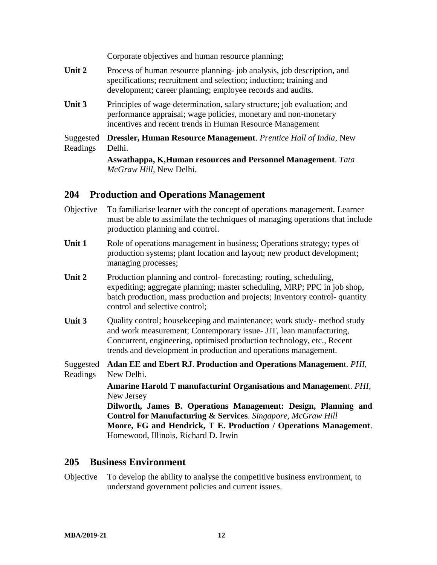Corporate objectives and human resource planning;

- Unit 2 Process of human resource planning- job analysis, job description, and specifications; recruitment and selection; induction; training and development; career planning; employee records and audits.
- **Unit 3** Principles of wage determination, salary structure; job evaluation; and performance appraisal; wage policies, monetary and non-monetary incentives and recent trends in Human Resource Management

Suggested Readings **Dressler, Human Resource Management**. *Prentice Hall of India*, New Delhi.

> **Aswathappa, K,Human resources and Personnel Management**. *Tata McGraw Hill*, New Delhi.

#### **204 Production and Operations Management**

- Objective To familiarise learner with the concept of operations management. Learner must be able to assimilate the techniques of managing operations that include production planning and control.
- Unit 1 Role of operations management in business; Operations strategy; types of production systems; plant location and layout; new product development; managing processes;
- Unit 2 Production planning and control-forecasting; routing, scheduling, expediting; aggregate planning; master scheduling, MRP; PPC in job shop, batch production, mass production and projects; Inventory control- quantity control and selective control;
- **Unit 3** Quality control; housekeeping and maintenance; work study- method study and work measurement; Contemporary issue- JIT, lean manufacturing, Concurrent, engineering, optimised production technology, etc., Recent trends and development in production and operations management.
- Suggested **Adan EE and Ebert RJ**. **Production and Operations Managemen**t. *PHI*, Readings New Delhi.

**Amarine Harold T manufacturinf Organisations and Managemen**t. *PHI*, New Jersey

**Dilworth, James B. Operations Management: Design, Planning and Control for Manufacturing & Services**. *Singapore, McGraw Hill* **Moore, FG and Hendrick, T E. Production / Operations Management**. Homewood, Illinois, Richard D. Irwin

#### **205 Business Environment**

Objective To develop the ability to analyse the competitive business environment, to understand government policies and current issues.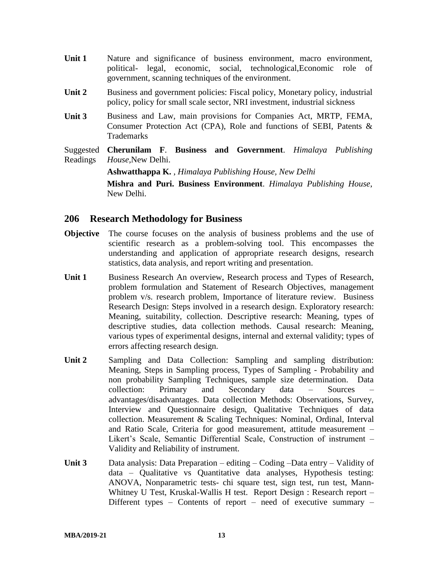- Unit 1 Nature and significance of business environment, macro environment, political- legal, economic, social, technological,Economic role of government, scanning techniques of the environment.
- **Unit 2** Business and government policies: Fiscal policy, Monetary policy, industrial policy, policy for small scale sector, NRI investment, industrial sickness
- **Unit 3** Business and Law, main provisions for Companies Act, MRTP, FEMA, Consumer Protection Act (CPA), Role and functions of SEBI, Patents & Trademarks
- Suggested Readings **Cherunilam F**. **Business and Government**. *Himalaya Publishing House,*New Delhi.

**Ashwatthappa K.** , *Himalaya Publishing House, New Delhi*

**Mishra and Puri. Business Environment**. *Himalaya Publishing House*, New Delhi.

#### **206 Research Methodology for Business**

- **Objective** The course focuses on the analysis of business problems and the use of scientific research as a problem-solving tool. This encompasses the understanding and application of appropriate research designs, research statistics, data analysis, and report writing and presentation.
- Unit 1 Business Research An overview, Research process and Types of Research, problem formulation and Statement of Research Objectives, management problem v/s. research problem, Importance of literature review. Business Research Design: Steps involved in a research design. Exploratory research: Meaning, suitability, collection. Descriptive research: Meaning, types of descriptive studies, data collection methods. Causal research: Meaning, various types of experimental designs, internal and external validity; types of errors affecting research design.
- **Unit 2** Sampling and Data Collection: Sampling and sampling distribution: Meaning, Steps in Sampling process, Types of Sampling - Probability and non probability Sampling Techniques, sample size determination. Data collection: Primary and Secondary data – Sources – advantages/disadvantages. Data collection Methods: Observations, Survey, Interview and Questionnaire design, Qualitative Techniques of data collection. Measurement & Scaling Techniques: Nominal, Ordinal, Interval and Ratio Scale, Criteria for good measurement, attitude measurement – Likert's Scale, Semantic Differential Scale, Construction of instrument – Validity and Reliability of instrument.
- **Unit 3** Data analysis: Data Preparation editing Coding –Data entry Validity of data – Qualitative vs Quantitative data analyses, Hypothesis testing: ANOVA, Nonparametric tests- chi square test, sign test, run test, Mann-Whitney U Test, Kruskal-Wallis H test. Report Design : Research report – Different types – Contents of report – need of executive summary –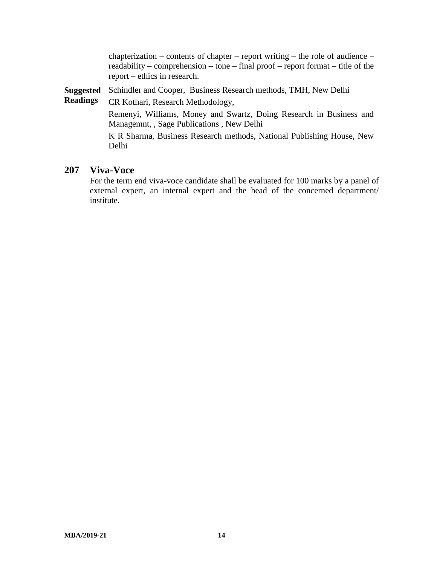chapterization – contents of chapter – report writing – the role of audience – readability – comprehension – tone – final proof – report format – title of the report – ethics in research.

**Suggested**  Schindler and Cooper, Business Research methods, TMH, New Delhi

**Readings** CR Kothari, Research Methodology,

> Remenyi, Williams, Money and Swartz, Doing Research in Business and Managemnt, , Sage Publications , New Delhi

> K R Sharma, Business Research methods, National Publishing House, New Delhi

#### **207 Viva-Voce**

For the term end viva-voce candidate shall be evaluated for 100 marks by a panel of external expert, an internal expert and the head of the concerned department/ institute.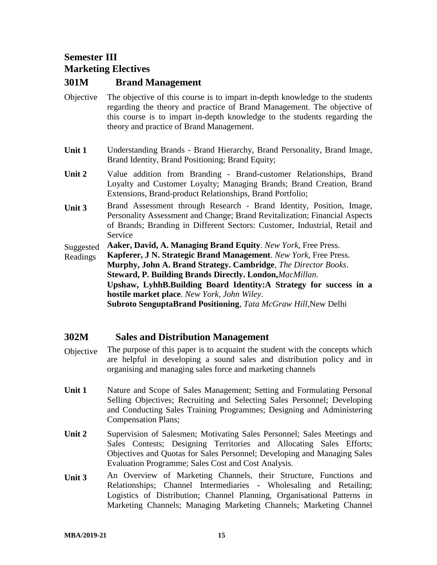### **Semester III Marketing Electives**

#### **301M Brand Management**

- Objective The objective of this course is to impart in-depth knowledge to the students regarding the theory and practice of Brand Management. The objective of this course is to impart in-depth knowledge to the students regarding the theory and practice of Brand Management.
- **Unit 1** Understanding Brands Brand Hierarchy, Brand Personality, Brand Image, Brand Identity, Brand Positioning; Brand Equity;
- **Unit 2** Value addition from Branding Brand-customer Relationships, Brand Loyalty and Customer Loyalty; Managing Brands; Brand Creation, Brand Extensions, Brand-product Relationships, Brand Portfolio;
- **Unit 3** Brand Assessment through Research Brand Identity, Position, Image, Personality Assessment and Change; Brand Revitalization; Financial Aspects of Brands; Branding in Different Sectors: Customer, Industrial, Retail and Service

Suggested **Aaker, David, A. Managing Brand Equity**. *New York*, Free Press.

Readings **Kapferer, J N. Strategic Brand Management**. *New York*, Free Press. **Murphy, John A. Brand Strategy. Cambridge**, *The Director Books*. **Steward, P. Building Brands Directly. London,***MacMillan*. **Upshaw, LyhhB.Building Board Identity:A Strategy for success in a hostile market place**. *New York, John Wiley*. **Subroto SenguptaBrand Positioning**, *Tata McGraw Hill,*New Delhi

#### **302M Sales and Distribution Management**

- Objective The purpose of this paper is to acquaint the student with the concepts which are helpful in developing a sound sales and distribution policy and in organising and managing sales force and marketing channels
- **Unit 1** Nature and Scope of Sales Management; Setting and Formulating Personal Selling Objectives; Recruiting and Selecting Sales Personnel; Developing and Conducting Sales Training Programmes; Designing and Administering Compensation Plans;
- **Unit 2** Supervision of Salesmen; Motivating Sales Personnel; Sales Meetings and Sales Contests; Designing Territories and Allocating Sales Efforts; Objectives and Quotas for Sales Personnel; Developing and Managing Sales Evaluation Programme; Sales Cost and Cost Analysis.
- **Unit 3** An Overview of Marketing Channels, their Structure, Functions and Relationships; Channel Intermediaries - Wholesaling and Retailing; Logistics of Distribution; Channel Planning, Organisational Patterns in Marketing Channels; Managing Marketing Channels; Marketing Channel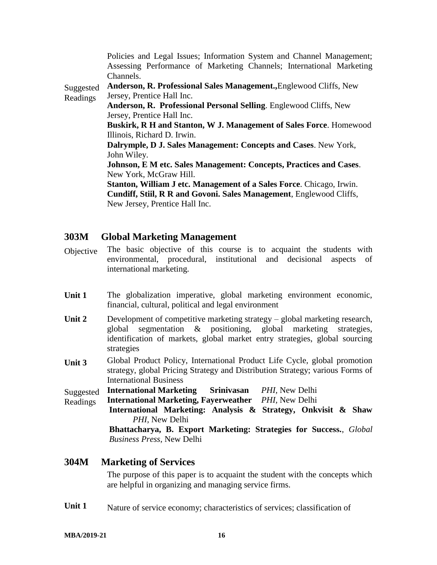|           | Policies and Legal Issues; Information System and Channel Management;     |
|-----------|---------------------------------------------------------------------------|
|           | Assessing Performance of Marketing Channels; International Marketing      |
|           | Channels.                                                                 |
| Suggested | <b>Anderson, R. Professional Sales Management., Englewood Cliffs, New</b> |
| Readings  | Jersey, Prentice Hall Inc.                                                |
|           | <b>Anderson, R. Professional Personal Selling.</b> Englewood Cliffs, New  |
|           | Jersey, Prentice Hall Inc.                                                |
|           | <b>Buskirk, R H and Stanton, W J. Management of Sales Force. Homewood</b> |
|           | Illinois, Richard D. Irwin.                                               |
|           | Dalrymple, D J. Sales Management: Concepts and Cases. New York,           |
|           | John Wiley.                                                               |
|           | <b>Johnson, E M etc. Sales Management: Concepts, Practices and Cases.</b> |
|           | New York, McGraw Hill.                                                    |
|           | Stanton, William J etc. Management of a Sales Force. Chicago, Irwin.      |
|           | Cundiff, Stiil, R R and Govoni. Sales Management, Englewood Cliffs,       |
|           | New Jersey, Prentice Hall Inc.                                            |

#### **303M Global Marketing Management**

- Objective The basic objective of this course is to acquaint the students with environmental, procedural, institutional and decisional aspects of international marketing.
- Unit 1 The globalization imperative, global marketing environment economic, financial, cultural, political and legal environment
- Unit 2 Development of competitive marketing strategy global marketing research, global segmentation & positioning, global marketing strategies, identification of markets, global market entry strategies, global sourcing strategies
- **Unit 3** Global Product Policy, International Product Life Cycle, global promotion strategy, global Pricing Strategy and Distribution Strategy; various Forms of International Business
- Suggested **International Marketing Srinivasan** *PHI,* New Delhi
- Readings **International Marketing, Fayerweather** *PHI,* New Delhi
	- **International Marketing: Analysis & Strategy, Onkvisit & Shaw** *PHI,* New Delhi

**Bhattacharya, B. Export Marketing: Strategies for Success.**, *Global Business Press*, New Delhi

#### **304M Marketing of Services**

The purpose of this paper is to acquaint the student with the concepts which are helpful in organizing and managing service firms.

Unit 1 Nature of service economy; characteristics of services; classification of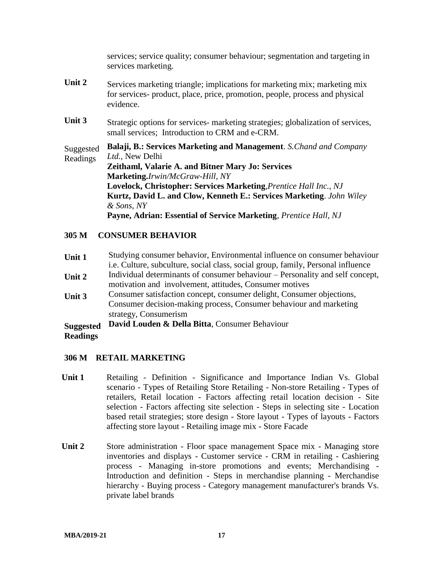services; service quality; consumer behaviour; segmentation and targeting in services marketing.

- **Unit 2** Services marketing triangle; implications for marketing mix; marketing mix for services- product, place, price, promotion, people, process and physical evidence.
- Unit 3 Strategic options for services- marketing strategies; globalization of services, small services; Introduction to CRM and e-CRM.

Suggested Readings **Balaji, B.: Services Marketing and Management**. *S.Chand and Company Ltd.*, New Delhi **Zeithaml, Valarie A. and Bitner Mary Jo: Services Marketing.***Irwin/McGraw-Hill, NY* **Lovelock, Christopher: Services Marketing**,*Prentice Hall Inc., NJ* **Kurtz, David L. and Clow, Kenneth E.: Services Marketing**. *John Wiley & Sons, NY* **Payne, Adrian: Essential of Service Marketing**, *Prentice Hall, NJ*

#### **305 M CONSUMER BEHAVIOR**

- **Unit 1** Studying consumer behavior, Environmental influence on consumer behaviour i.e. Culture, subculture, social class, social group, family, Personal influence
- **Unit 2** Individual determinants of consumer behaviour Personality and self concept, motivation and involvement, attitudes, Consumer motives
- **Unit 3** Consumer satisfaction concept, consumer delight, Consumer objections, Consumer decision-making process, Consumer behaviour and marketing strategy, Consumerism
- **Suggested David Louden & Della Bitta**, Consumer Behaviour

#### **Readings**

#### **306 M RETAIL MARKETING**

- **Unit 1** Retailing Definition Significance and Importance Indian Vs. Global scenario - Types of Retailing Store Retailing - Non-store Retailing - Types of retailers, Retail location - Factors affecting retail location decision - Site selection - Factors affecting site selection - Steps in selecting site - Location based retail strategies; store design - Store layout - Types of layouts - Factors affecting store layout - Retailing image mix - Store Facade
- **Unit 2** Store administration Floor space management Space mix Managing store inventories and displays - Customer service - CRM in retailing - Cashiering process - Managing in-store promotions and events; Merchandising - Introduction and definition - Steps in merchandise planning - Merchandise hierarchy - Buying process - Category management manufacturer's brands Vs. private label brands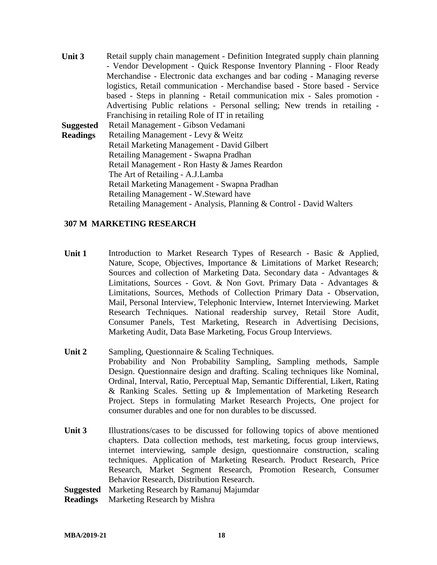**Unit 3** Retail supply chain management - Definition Integrated supply chain planning - Vendor Development - Quick Response Inventory Planning - Floor Ready Merchandise - Electronic data exchanges and bar coding - Managing reverse logistics, Retail communication - Merchandise based - Store based - Service based - Steps in planning - Retail communication mix - Sales promotion - Advertising Public relations - Personal selling; New trends in retailing - Franchising in retailing Role of IT in retailing **Suggested Readings** Retail Management - Gibson Vedamani Retailing Management - Levy & Weitz Retail Marketing Management - David Gilbert Retailing Management - Swapna Pradhan Retail Management - Ron Hasty & James Reardon The Art of Retailing - A.J.Lamba Retail Marketing Management - Swapna Pradhan Retailing Management - W.Steward have Retailing Management - Analysis, Planning & Control - David Walters

#### **307 M MARKETING RESEARCH**

- Unit 1 Introduction to Market Research Types of Research Basic & Applied, Nature, Scope, Objectives, Importance & Limitations of Market Research; Sources and collection of Marketing Data. Secondary data - Advantages & Limitations, Sources - Govt. & Non Govt. Primary Data - Advantages & Limitations, Sources, Methods of Collection Primary Data - Observation, Mail, Personal Interview, Telephonic Interview, Internet Interviewing. Market Research Techniques. National readership survey, Retail Store Audit, Consumer Panels, Test Marketing, Research in Advertising Decisions, Marketing Audit, Data Base Marketing, Focus Group Interviews.
- **Unit 2** Sampling, Questionnaire & Scaling Techniques. Probability and Non Probability Sampling, Sampling methods, Sample Design. Questionnaire design and drafting. Scaling techniques like Nominal, Ordinal, Interval, Ratio, Perceptual Map, Semantic Differential, Likert, Rating & Ranking Scales. Setting up & Implementation of Marketing Research Project. Steps in formulating Market Research Projects, One project for consumer durables and one for non durables to be discussed.
- **Unit 3** Illustrations/cases to be discussed for following topics of above mentioned chapters. Data collection methods, test marketing, focus group interviews, internet interviewing, sample design, questionnaire construction, scaling techniques. Application of Marketing Research. Product Research, Price Research, Market Segment Research, Promotion Research, Consumer Behavior Research, Distribution Research.

**Suggested**  Marketing Research by Ramanuj Majumdar

**Readings** Marketing Research by Mishra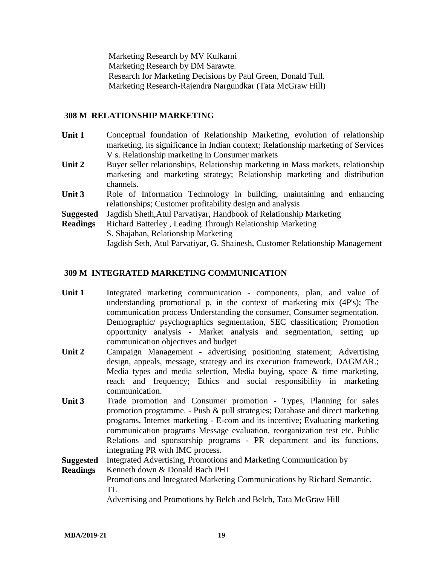Marketing Research by MV Kulkarni Marketing Research by DM Sarawte. Research for Marketing Decisions by Paul Green, Donald Tull. Marketing Research-Rajendra Nargundkar (Tata McGraw Hill)

#### **308 M RELATIONSHIP MARKETING**

- **Unit 1** Conceptual foundation of Relationship Marketing, evolution of relationship marketing, its significance in Indian context; Relationship marketing of Services V s. Relationship marketing in Consumer markets
- **Unit 2** Buyer seller relationships, Relationship marketing in Mass markets, relationship marketing and marketing strategy; Relationship marketing and distribution channels.
- Unit 3 Role of Information Technology in building, maintaining and enhancing relationships; Customer profitability design and analysis
- **Suggested** Jagdish Sheth,Atul Parvatiyar, Handbook of Relationship Marketing
- **Readings** Richard Batterley , Leading Through Relationship Marketing S. Shajahan, Relationship Marketing Jagdish Seth, Atul Parvatiyar, G. Shainesh, Customer Relationship Management

#### **309 M INTEGRATED MARKETING COMMUNICATION**

- Unit 1 Integrated marketing communication components, plan, and value of understanding promotional p, in the context of marketing mix (4P's); The communication process Understanding the consumer, Consumer segmentation. Demographic/ psychographics segmentation, SEC classification; Promotion opportunity analysis - Market analysis and segmentation, setting up communication objectives and budget
- **Unit 2** Campaign Management advertising positioning statement; Advertising design, appeals, message, strategy and its execution framework, DAGMAR.; Media types and media selection, Media buying, space & time marketing, reach and frequency; Ethics and social responsibility in marketing communication.
- Unit 3 Trade promotion and Consumer promotion Types, Planning for sales promotion programme. - Push & pull strategies; Database and direct marketing programs, Internet marketing - E-com and its incentive; Evaluating marketing communication programs Message evaluation, reorganization test etc. Public Relations and sponsorship programs - PR department and its functions, integrating PR with IMC process.

**Suggested**  Integrated Advertising, Promotions and Marketing Communication by

**Readings** Kenneth down & Donald Bach PHI Promotions and Integrated Marketing Communications by Richard Semantic, TL Advertising and Promotions by Belch and Belch, Tata McGraw Hill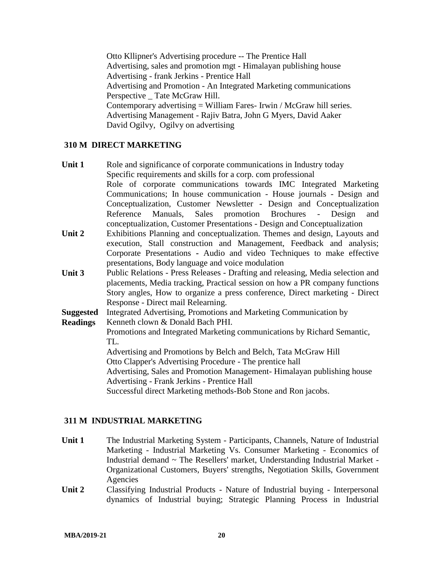Otto Kllipner's Advertising procedure -- The Prentice Hall Advertising, sales and promotion mgt - Himalayan publishing house Advertising - frank Jerkins - Prentice Hall Advertising and Promotion - An Integrated Marketing communications Perspective Tate McGraw Hill. Contemporary advertising = William Fares- Irwin / McGraw hill series. Advertising Management - Rajiv Batra, John G Myers, David Aaker David Ogilvy, Ogilvy on advertising

#### **310 M DIRECT MARKETING**

- Unit 1 Role and significance of corporate communications in Industry today Specific requirements and skills for a corp. com professional Role of corporate communications towards IMC Integrated Marketing Communications; In house communication - House journals - Design and Conceptualization, Customer Newsletter - Design and Conceptualization Reference Manuals, Sales promotion Brochures - Design and conceptualization, Customer Presentations - Design and Conceptualization
- **Unit 2** Exhibitions Planning and conceptualization. Themes and design, Layouts and execution, Stall construction and Management, Feedback and analysis; Corporate Presentations **-** Audio and video Techniques to make effective presentations, Body language and voice modulation
- **Unit 3** Public Relations Press Releases Drafting and releasing, Media selection and placements, Media tracking, Practical session on how a PR company functions Story angles, How to organize a press conference, Direct marketing - Direct Response - Direct mail Relearning.

**Suggested**  Integrated Advertising, Promotions and Marketing Communication by

**Readings** Kenneth clown & Donald Bach PHI.

> Promotions and Integrated Marketing communications by Richard Semantic, TL.

Advertising and Promotions by Belch and Belch, Tata McGraw Hill

Otto Clapper's Advertising Procedure - The prentice hall

Advertising, Sales and Promotion Management- Himalayan publishing house Advertising - Frank Jerkins - Prentice Hall

Successful direct Marketing methods-Bob Stone and Ron jacobs.

#### **311 M INDUSTRIAL MARKETING**

- Unit 1 The Industrial Marketing System Participants, Channels, Nature of Industrial Marketing - Industrial Marketing Vs. Consumer Marketing - Economics of Industrial demand ~ The Resellers' market, Understanding Industrial Market - Organizational Customers, Buyers' strengths, Negotiation Skills, Government Agencies
- **Unit 2** Classifying Industrial Products Nature of Industrial buying Interpersonal dynamics of Industrial buying; Strategic Planning Process in Industrial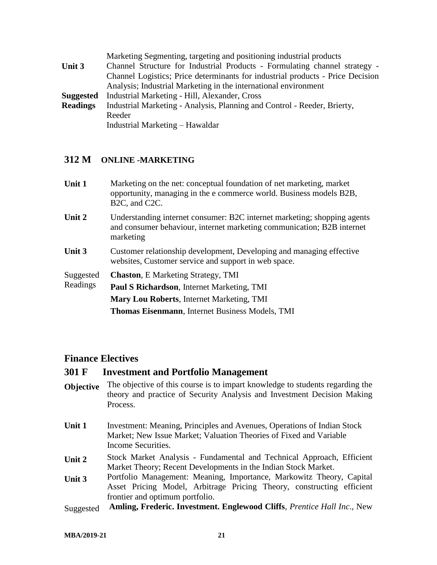|                  | Marketing Segmenting, targeting and positioning industrial products            |
|------------------|--------------------------------------------------------------------------------|
| Unit 3           | Channel Structure for Industrial Products - Formulating channel strategy -     |
|                  | Channel Logistics; Price determinants for industrial products - Price Decision |
|                  | Analysis; Industrial Marketing in the international environment                |
| <b>Suggested</b> | Industrial Marketing - Hill, Alexander, Cross                                  |
| <b>Readings</b>  | Industrial Marketing - Analysis, Planning and Control - Reeder, Brierty,       |
|                  | Reeder                                                                         |
|                  | Industrial Marketing – Hawaldar                                                |

#### **312 M ONLINE -MARKETING**

| Unit 1                | Marketing on the net: conceptual foundation of net marketing, market<br>opportunity, managing in the e commerce world. Business models B2B,<br>B <sub>2</sub> C, and C <sub>2</sub> C. |
|-----------------------|----------------------------------------------------------------------------------------------------------------------------------------------------------------------------------------|
| Unit 2                | Understanding internet consumer: B2C internet marketing; shopping agents<br>and consumer behaviour, internet marketing communication; B2B internet<br>marketing                        |
| Unit 3                | Customer relationship development, Developing and managing effective<br>websites, Customer service and support in web space.                                                           |
| Suggested<br>Readings | <b>Chaston, E Marketing Strategy, TMI</b><br><b>Paul S Richardson, Internet Marketing, TMI</b><br><b>Mary Lou Roberts, Internet Marketing, TMI</b>                                     |
|                       | <b>Thomas Eisenmann</b> , Internet Business Models, TMI                                                                                                                                |

#### **Finance Electives**

#### **301 F Investment and Portfolio Management**

- **Objective** The objective of this course is to impart knowledge to students regarding the theory and practice of Security Analysis and Investment Decision Making Process.
- **Unit 1** Investment: Meaning, Principles and Avenues, Operations of Indian Stock Market; New Issue Market; Valuation Theories of Fixed and Variable Income Securities.
- **Unit 2** Stock Market Analysis Fundamental and Technical Approach, Efficient Market Theory; Recent Developments in the Indian Stock Market.
- **Unit 3** Portfolio Management: Meaning, Importance, Markowitz Theory, Capital Asset Pricing Model, Arbitrage Pricing Theory, constructing efficient frontier and optimum portfolio.
- Suggested **Amling, Frederic. Investment. Englewood Cliffs**, *Prentice Hall Inc*., New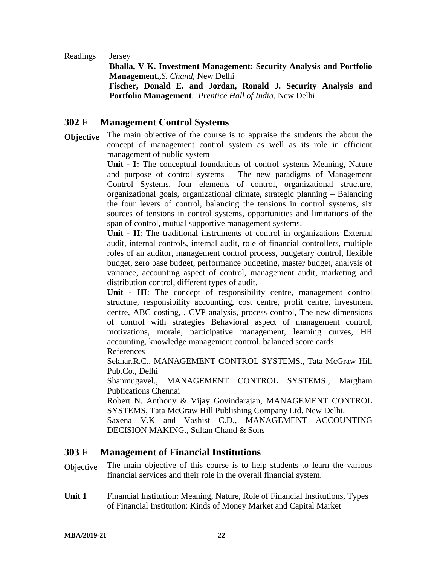Readings Jersey

**Bhalla, V K. Investment Management: Security Analysis and Portfolio Management.,***S. Chand*, New Delhi **Fischer, Donald E. and Jordan, Ronald J. Security Analysis and Portfolio Management**. *Prentice Hall of India*, New Delhi

#### **302 F Management Control Systems**

**Objective** The main objective of the course is to appraise the students the about the concept of management control system as well as its role in efficient management of public system

> **Unit - I:** The conceptual foundations of control systems Meaning, Nature and purpose of control systems – The new paradigms of Management Control Systems, four elements of control, organizational structure, organizational goals, organizational climate, strategic planning – Balancing the four levers of control, balancing the tensions in control systems, six sources of tensions in control systems, opportunities and limitations of the span of control, mutual supportive management systems.

> **Unit - II**: The traditional instruments of control in organizations External audit, internal controls, internal audit, role of financial controllers, multiple roles of an auditor, management control process, budgetary control, flexible budget, zero base budget, performance budgeting, master budget, analysis of variance, accounting aspect of control, management audit, marketing and distribution control, different types of audit.

> **Unit - III**: The concept of responsibility centre, management control structure, responsibility accounting, cost centre, profit centre, investment centre, ABC costing, , CVP analysis, process control, The new dimensions of control with strategies Behavioral aspect of management control, motivations, morale, participative management, learning curves, HR accounting, knowledge management control, balanced score cards. References

> Sekhar.R.C., MANAGEMENT CONTROL SYSTEMS., Tata McGraw Hill Pub.Co., Delhi

> Shanmugavel., MANAGEMENT CONTROL SYSTEMS., Margham Publications Chennai

> Robert N. Anthony & Vijay Govindarajan, MANAGEMENT CONTROL SYSTEMS, Tata McGraw Hill Publishing Company Ltd. New Delhi.

> Saxena V.K and Vashist C.D., MANAGEMENT ACCOUNTING DECISION MAKING., Sultan Chand & Sons

#### **303 F Management of Financial Institutions**

- Objective The main objective of this course is to help students to learn the various financial services and their role in the overall financial system.
- **Unit 1** Financial Institution: Meaning, Nature, Role of Financial Institutions, Types of Financial Institution: Kinds of Money Market and Capital Market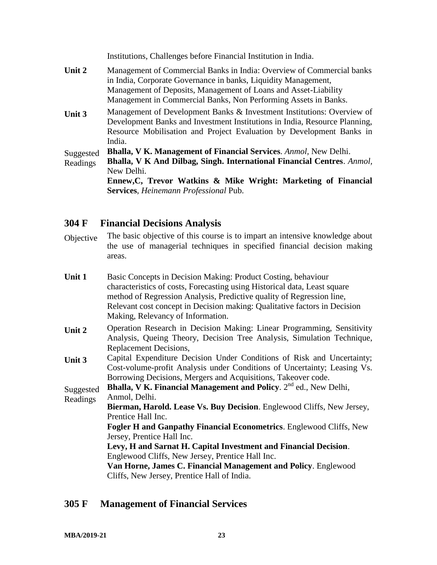Institutions, Challenges before Financial Institution in India. **Unit 2** Management of Commercial Banks in India: Overview of Commercial banks in India, Corporate Governance in banks, Liquidity Management, Management of Deposits, Management of Loans and Asset-Liability

Management in Commercial Banks, Non Performing Assets in Banks.

**Unit 3** Management of Development Banks & Investment Institutions: Overview of Development Banks and Investment Institutions in India, Resource Planning, Resource Mobilisation and Project Evaluation by Development Banks in India.

Suggested **Bhalla, V K. Management of Financial Services**. *Anmol,* New Delhi.

Readings **Bhalla, V K And Dilbag, Singh. International Financial Centres**. *Anmol,* New Delhi.

> **Ennew,C, Trevor Watkins & Mike Wright: Marketing of Financial Services**, *Heinemann Professional* Pub.

#### **304 F Financial Decisions Analysis**

Objective The basic objective of this course is to impart an intensive knowledge about the use of managerial techniques in specified financial decision making areas.

| Unit 1 | Basic Concepts in Decision Making: Product Costing, behaviour             |
|--------|---------------------------------------------------------------------------|
|        | characteristics of costs, Forecasting using Historical data, Least square |
|        | method of Regression Analysis, Predictive quality of Regression line,     |
|        | Relevant cost concept in Decision making: Qualitative factors in Decision |
|        | Making, Relevancy of Information.                                         |
|        |                                                                           |

- **Unit 2** Operation Research in Decision Making: Linear Programming, Sensitivity Analysis, Queing Theory, Decision Tree Analysis, Simulation Technique, Replacement Decisions,
- **Unit 3** Capital Expenditure Decision Under Conditions of Risk and Uncertainty; Cost-volume-profit Analysis under Conditions of Uncertainty; Leasing Vs. Borrowing Decisions, Mergers and Acquisitions, Takeover code.

**Suggested Bhalla, V K. Financial Management and Policy.**  $2^{nd}$  ed., New Delhi,

Readings Anmol, Delhi.

**Bierman, Harold. Lease Vs. Buy Decision**. Englewood Cliffs, New Jersey, Prentice Hall Inc.

**Fogler H and Ganpathy Financial Econometrics**. Englewood Cliffs, New Jersey, Prentice Hall Inc.

**Levy, H and Sarnat H. Capital Investment and Financial Decision**. Englewood Cliffs, New Jersey, Prentice Hall Inc.

**Van Horne, James C. Financial Management and Policy**. Englewood Cliffs, New Jersey, Prentice Hall of India.

#### **305 F Management of Financial Services**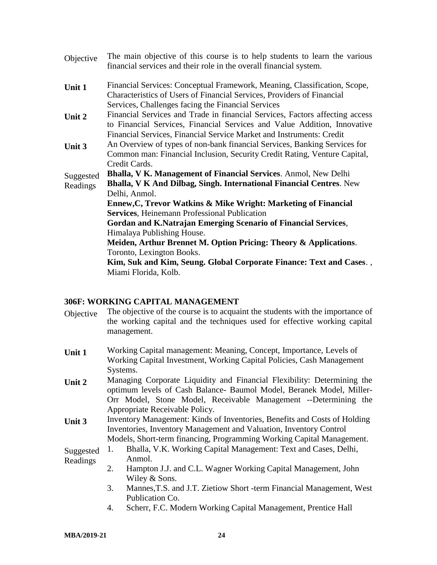| The main objective of this course is to help students to learn the various<br>financial services and their role in the overall financial system.         |
|----------------------------------------------------------------------------------------------------------------------------------------------------------|
| Financial Services: Conceptual Framework, Meaning, Classification, Scope,<br>Characteristics of Users of Financial Services, Providers of Financial      |
| Services, Challenges facing the Financial Services                                                                                                       |
| Financial Services and Trade in financial Services, Factors affecting access<br>to Financial Services, Financial Services and Value Addition, Innovative |
| Financial Services, Financial Service Market and Instruments: Credit                                                                                     |
| An Overview of types of non-bank financial Services, Banking Services for                                                                                |
| Common man: Financial Inclusion, Security Credit Rating, Venture Capital,                                                                                |
| Credit Cards.                                                                                                                                            |
| <b>Bhalla, V K. Management of Financial Services. Anmol, New Delhi</b>                                                                                   |
| <b>Bhalla, V K And Dilbag, Singh. International Financial Centres. New</b><br>Delhi, Anmol.                                                              |
| Ennew, C, Trevor Watkins & Mike Wright: Marketing of Financial                                                                                           |
| <b>Services, Heinemann Professional Publication</b>                                                                                                      |
| Gordan and K.Natrajan Emerging Scenario of Financial Services,                                                                                           |
| Himalaya Publishing House.                                                                                                                               |
| Meiden, Arthur Brennet M. Option Pricing: Theory & Applications.                                                                                         |
| Toronto, Lexington Books.                                                                                                                                |
| Kim, Suk and Kim, Seung. Global Corporate Finance: Text and Cases.,                                                                                      |
| Miami Florida, Kolb.                                                                                                                                     |
|                                                                                                                                                          |

#### **306F: WORKING CAPITAL MANAGEMENT**

- Objective The objective of the course is to acquaint the students with the importance of the working capital and the techniques used for effective working capital management.
- **Unit 1** Working Capital management: Meaning, Concept, Importance, Levels of Working Capital Investment, Working Capital Policies, Cash Management Systems.
- **Unit 2** Managing Corporate Liquidity and Financial Flexibility: Determining the optimum levels of Cash Balance- Baumol Model, Beranek Model, Miller-Orr Model, Stone Model, Receivable Management --Determining the Appropriate Receivable Policy.
- **Unit 3** Inventory Management: Kinds of Inventories, Benefits and Costs of Holding Inventories, Inventory Management and Valuation, Inventory Control Models, Short-term financing, Programming Working Capital Management.

#### Suggested Readings 1. Bhalla, V.K. Working Capital Management: Text and Cases, Delhi, Anmol.

- 2. Hampton J.J. and C.L. Wagner Working Capital Management, John Wiley & Sons.
	- 3. Mannes,T.S. and J.T. Zietiow Short -term Financial Management, West Publication Co.
	- 4. Scherr, F.C. Modern Working Capital Management, Prentice Hall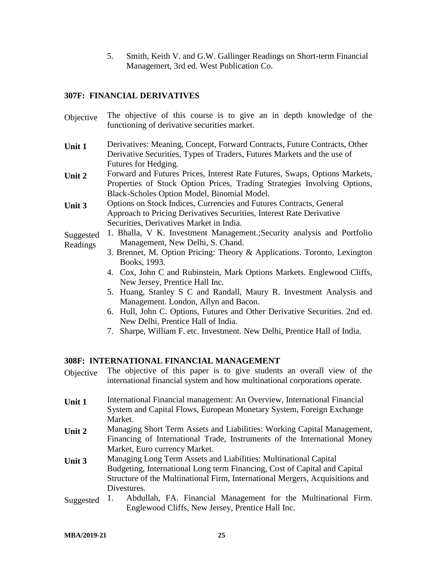5. Smith, Keith V. and G.W. Gallinger Readings on Short-term Financial Managemert, 3rd ed. West Publication Co.

#### **307F: FINANCIAL DERIVATIVES**

- Objective The objective of this course is to give an in depth knowledge of the functioning of derivative securities market.
- **Unit 1** Derivatives: Meaning, Concept, Forward Contracts, Future Contracts, Other Derivative Securities, Types of Traders, Futures Markets and the use of Futures for Hedging.
- **Unit 2** Forward and Futures Prices, Interest Rate Futures, Swaps, Options Markets, Properties of Stock Option Prices, Trading Strategies Involving Options, Black-Scholes Option Model, Binomial Model.
- **Unit 3** Options on Stock Indices, Currencies and Futures Contracts, General Approach to Pricing Derivatives Securities, Interest Rate Derivative Securities, Derivatives Market in India.
- Suggested Readings 1. Bhalla, V K. Investment Management.;Security analysis and Portfolio Management, New Delhi, S. Chand.
	- 3. Brennet, M. Option Pricing: Theory & Applications. Toronto, Lexington Books, 1993.
	- 4. Cox, John C and Rubinstein, Mark Options Markets. Englewood Cliffs, New Jersey, Prentice Hall Inc.
	- 5. Huang, Stanley S C and Randall, Maury R. Investment Analysis and Management. London, Allyn and Bacon.
	- 6. Hull, John C. Options, Futures and Other Derivative Securities. 2nd ed. New Delhi, Prentice Hall of India.
	- 7. Sharpe, William F. etc. Investment. New Delhi, Prentice Hall of India.

#### **308F: INTERNATIONAL FINANCIAL MANAGEMENT**

- Objective The objective of this paper is to give students an overall view of the international financial system and how multinational corporations operate. **Unit 1** International Financial management: An Overview, International Financial System and Capital Flows, European Monetary System, Foreign Exchange Market. **Unit 2** Managing Short Term Assets and Liabilities: Working Capital Management, Financing of International Trade, Instruments of the International Money Market, Euro currency Market. **Unit 3** Managing Long Term Assets and Liabilities: Multinational Capital Budgeting, International Long term Financing, Cost of Capital and Capital Structure of the Multinational Firm, International Mergers, Acquisitions and
- Divestures. Suggested 1. Abdullah, FA. Financial Management for the Multinational Firm. Englewood Cliffs, New Jersey, Prentice Hall Inc.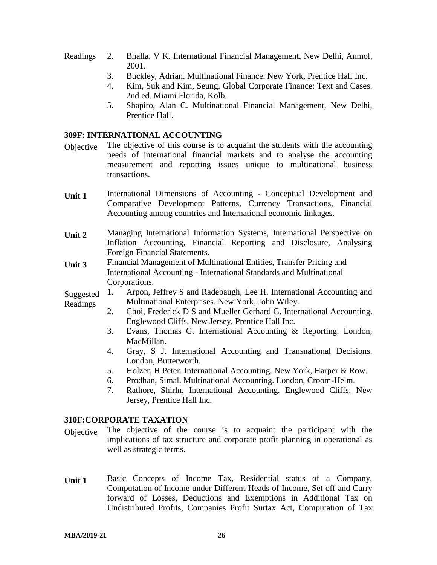- Readings 2. Bhalla, V K. International Financial Management, New Delhi, Anmol, 2001.
	- 3. Buckley, Adrian. Multinational Finance. New York, Prentice Hall Inc.
	- 4. Kim, Suk and Kim, Seung. Global Corporate Finance: Text and Cases. 2nd ed. Miami Florida, Kolb.
	- 5. Shapiro, Alan C. Multinational Financial Management, New Delhi, Prentice Hall.

#### **309F: INTERNATIONAL ACCOUNTING**

- Objective The objective of this course is to acquaint the students with the accounting needs of international financial markets and to analyse the accounting measurement and reporting issues unique to multinational business transactions.
- **Unit 1** International Dimensions of Accounting Conceptual Development and Comparative Development Patterns, Currency Transactions, Financial Accounting among countries and International economic linkages.
- **Unit 2** Managing International Information Systems, International Perspective on Inflation Accounting, Financial Reporting and Disclosure, Analysing Foreign Financial Statements.
- **Unit 3** Financial Management of Multinational Entities, Transfer Pricing and International Accounting - International Standards and Multinational Corporations.
- Suggested Readings 1. Arpon, Jeffrey S and Radebaugh, Lee H. International Accounting and Multinational Enterprises. New York, John Wiley.
	- 2. Choi, Frederick D S and Mueller Gerhard G. International Accounting. Englewood Cliffs, New Jersey, Prentice Hall Inc.
	- 3. Evans, Thomas G. International Accounting & Reporting. London, MacMillan.
	- 4. Gray, S J. International Accounting and Transnational Decisions. London, Butterworth.
	- 5. Holzer, H Peter. International Accounting. New York, Harper & Row.
	- 6. Prodhan, Simal. Multinational Accounting. London, Croom-Helm.
	- 7. Rathore, Shirln. International Accounting. Englewood Cliffs, New Jersey, Prentice Hall Inc.

#### **310F:CORPORATE TAXATION**

- Objective The objective of the course is to acquaint the participant with the implications of tax structure and corporate profit planning in operational as well as strategic terms.
- **Unit 1** Basic Concepts of Income Tax, Residential status of a Company, Computation of Income under Different Heads of Income, Set off and Carry forward of Losses, Deductions and Exemptions in Additional Tax on Undistributed Profits, Companies Profit Surtax Act, Computation of Tax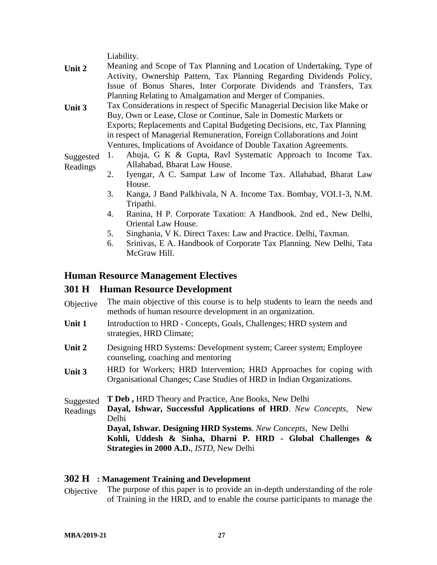Liability.

- **Unit 2** Meaning and Scope of Tax Planning and Location of Undertaking, Type of Activity, Ownership Pattern, Tax Planning Regarding Dividends Policy, Issue of Bonus Shares, Inter Corporate Dividends and Transfers, Tax Planning Relating to Amalgamation and Merger of Companies.
- **Unit 3** Tax Considerations in respect of Specific Managerial Decision like Make or Buy, Own or Lease, Close or Continue, Sale in Domestic Markets or Exports; Replacements and Capital Budgeting Decisions, etc, Tax Planning in respect of Managerial Remuneration, Foreign Collaborations and Joint Ventures, Implications of Avoidance of Double Taxation Agreements.

Suggested Readings 1. Ahuja, G K & Gupta, Ravl Systematic Approach to Income Tax. Allahabad, Bharat Law House.

- 2. Iyengar, A C. Sampat Law of Income Tax. Allahabad, Bharat Law House.
- 3. Kanga, J Band Palkhivala, N A. Income Tax. Bombay, VOI.1-3, N.M. Tripathi.
- 4. Ranina, H P. Corporate Taxation: A Handbook. 2nd ed., New Delhi, Oriental Law House.
- 5. Singhania, V K. Direct Taxes: Law and Practice. Delhi, Taxman.
- 6. Srinivas, E A. Handbook of Corporate Tax Planning. New Delhi, Tata McGraw Hill.

#### **Human Resource Management Electives**

#### **301 H Human Resource Development**

- Objective The main objective of this course is to help students to learn the needs and methods of human resource development in an organization.
- **Unit 1** Introduction to HRD Concepts, Goals, Challenges; HRD system and strategies, HRD Climate;
- **Unit 2** Designing HRD Systems: Development system; Career system; Employee counseling, coaching and mentoring
- **Unit 3** HRD for Workers; HRD Intervention; HRD Approaches for coping with Organisational Changes; Case Studies of HRD in Indian Organizations.
- Suggested Readings **T Deb ,** HRD Theory and Practice, Ane Books, New Delhi **Dayal, Ishwar, Successful Applications of HRD**. *New Concepts*, New Delhi **Dayal, Ishwar. Designing HRD Systems**. *New Concepts*, New Delhi **Kohli, Uddesh & Sinha, Dharni P. HRD - Global Challenges & Strategies in 2000 A.D.**, *ISTD*, New Delhi

#### **302 H : Management Training and Development**

Objective The purpose of this paper is to provide an in-depth understanding of the role of Training in the HRD, and to enable the course participants to manage the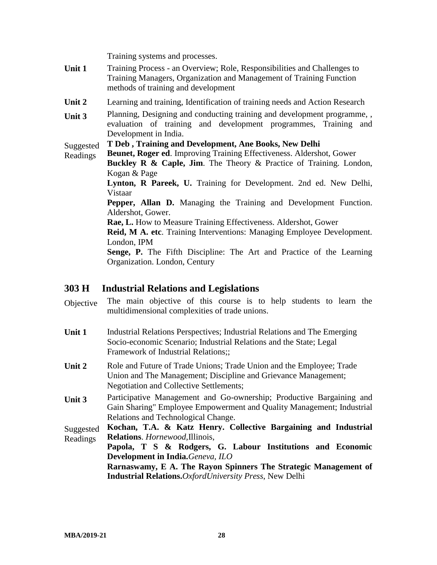Training systems and processes.

- **Unit 1** Training Process an Overview; Role, Responsibilities and Challenges to Training Managers, Organization and Management of Training Function methods of training and development
- **Unit 2** Learning and training, Identification of training needs and Action Research
- **Unit 3** Planning, Designing and conducting training and development programme, , evaluation of training and development programmes, Training and Development in India.

#### Suggested **T Deb , Training and Development, Ane Books, New Delhi**

- Readings **Beunet, Roger ed**. Improving Training Effectiveness. Aldershot, Gower
	- **Buckley R & Caple, Jim.** The Theory & Practice of Training. London, Kogan & Page

**Lynton, R Pareek, U.** Training for Development. 2nd ed. New Delhi, Vistaar

**Pepper, Allan D.** Managing the Training and Development Function. Aldershot, Gower.

**Rae, L.** How to Measure Training Effectiveness. Aldershot, Gower

**Reid, M A. etc**. Training Interventions: Managing Employee Development. London, IPM

**Senge, P.** The Fifth Discipline: The Art and Practice of the Learning Organization. London, Century

#### **303 H Industrial Relations and Legislations**

- Objective The main objective of this course is to help students to learn the multidimensional complexities of trade unions.
- **Unit 1** Industrial Relations Perspectives; Industrial Relations and The Emerging Socio-economic Scenario; Industrial Relations and the State; Legal Framework of Industrial Relations;;
- Unit 2 Role and Future of Trade Unions; Trade Union and the Employee; Trade Union and The Management; Discipline and Grievance Management; Negotiation and Collective Settlements;
- **Unit 3** Participative Management and Go-ownership; Productive Bargaining and Gain Sharing" Employee Empowerment and Quality Management; Industrial Relations and Technological Change.

Suggested Readings **Kochan, T.A. & Katz Henry. Collective Bargaining and Industrial Relations**. *Hornewood,*Illinois,

**Papola, T S & Rodgers, G. Labour Institutions and Economic Development in India.***Geneva, ILO*

**Rarnaswamy, E A. The Rayon Spinners The Strategic Management of Industrial Relations.***OxfordUniversity Press*, New Delhi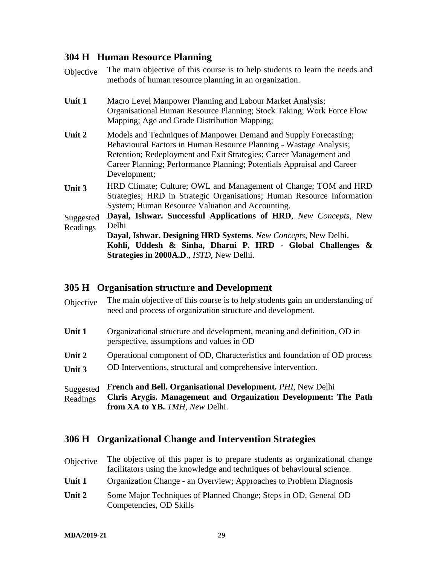### **304 H Human Resource Planning**

| Objective             | The main objective of this course is to help students to learn the needs and<br>methods of human resource planning in an organization.                                                                                                                                                                 |
|-----------------------|--------------------------------------------------------------------------------------------------------------------------------------------------------------------------------------------------------------------------------------------------------------------------------------------------------|
| Unit 1                | Macro Level Manpower Planning and Labour Market Analysis;<br>Organisational Human Resource Planning; Stock Taking; Work Force Flow<br>Mapping; Age and Grade Distribution Mapping;                                                                                                                     |
| Unit 2                | Models and Techniques of Manpower Demand and Supply Forecasting;<br>Behavioural Factors in Human Resource Planning - Wastage Analysis;<br>Retention; Redeployment and Exit Strategies; Career Management and<br>Career Planning; Performance Planning; Potentials Appraisal and Career<br>Development; |
| Unit 3                | HRD Climate; Culture; OWL and Management of Change; TOM and HRD<br>Strategies; HRD in Strategic Organisations; Human Resource Information<br>System; Human Resource Valuation and Accounting.                                                                                                          |
| Suggested<br>Readings | Dayal, Ishwar. Successful Applications of HRD, New Concepts, New<br>Delhi<br>Dayal, Ishwar. Designing HRD Systems. New Concepts, New Delhi.<br>Kohli, Uddesh & Sinha, Dharni P. HRD - Global Challenges &<br>Strategies in 2000A.D., ISTD, New Delhi.                                                  |

#### **305 H Organisation structure and Development**

| Objective             | The main objective of this course is to help students gain an understanding of<br>need and process of organization structure and development.                           |
|-----------------------|-------------------------------------------------------------------------------------------------------------------------------------------------------------------------|
| Unit 1                | Organizational structure and development, meaning and definition, OD in<br>perspective, assumptions and values in OD                                                    |
| Unit 2<br>Unit 3      | Operational component of OD, Characteristics and foundation of OD process<br>OD Interventions, structural and comprehensive intervention.                               |
| Suggested<br>Readings | <b>French and Bell. Organisational Development. PHI, New Delhi</b><br>Chris Arygis. Management and Organization Development: The Path<br>from XA to YB. TMH, New Delhi. |

#### **306 H Organizational Change and Intervention Strategies**

| Objective | The objective of this paper is to prepare students as organizational change<br>facilitators using the knowledge and techniques of behavioural science. |
|-----------|--------------------------------------------------------------------------------------------------------------------------------------------------------|
| Unit 1    | Organization Change - an Overview; Approaches to Problem Diagnosis                                                                                     |
| Unit 2    | Some Major Techniques of Planned Change; Steps in OD, General OD<br>Competencies, OD Skills                                                            |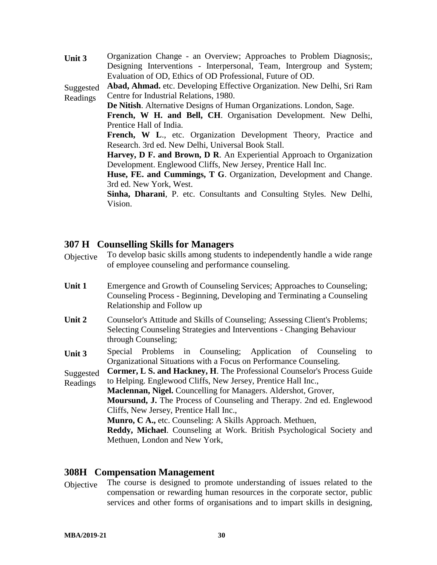**Unit 3** Organization Change - an Overview; Approaches to Problem Diagnosis;, Designing Interventions - Interpersonal, Team, Intergroup and System; Evaluation of OD, Ethics of OD Professional, Future of OD. Suggested Readings **Abad, Ahmad.** etc. Developing Effective Organization. New Delhi, Sri Ram Centre for Industrial Relations, 1980. **De Nitish**. Alternative Designs of Human Organizations. London, Sage. **French, W H. and Bell, CH**. Organisation Development. New Delhi, Prentice Hall of India. French, W L., etc. Organization Development Theory, Practice and Research. 3rd ed. New Delhi, Universal Book Stall. **Harvey, D F. and Brown, D R**. An Experiential Approach to Organization Development. Englewood Cliffs, New Jersey, Prentice Hall Inc. **Huse, FE. and Cummings, T G**. Organization, Development and Change. 3rd ed. New York, West. **Sinha, Dharani**, P. etc. Consultants and Consulting Styles. New Delhi, Vision.

#### **307 H Counselling Skills for Managers**

- Objective To develop basic skills among students to independently handle a wide range of employee counseling and performance counseling.
- Unit 1 Emergence and Growth of Counseling Services; Approaches to Counseling; Counseling Process - Beginning, Developing and Terminating a Counseling Relationship and Follow up
- Unit 2 Counselor's Attitude and Skills of Counseling; Assessing Client's Problems; Selecting Counseling Strategies and Interventions - Changing Behaviour through Counseling;
- **Unit 3** Special Problems in Counseling; Application of Counseling to Organizational Situations with a Focus on Performance Counseling.

Suggested Readings **Cormer, L S. and Hackney, H**. The Professional Counselor's Process Guide to Helping. Englewood Cliffs, New Jersey, Prentice Hall Inc.,

**Maclennan, Nigel.** Councelling for Managers. Aldershot, Grover, **Moursund, J.** The Process of Counseling and Therapy. 2nd ed. Englewood Cliffs, New Jersey, Prentice Hall Inc., **Munro, C A.,** etc. Counseling: A Skills Approach. Methuen,

**Reddy, Michael**. Counseling at Work. British Psychological Society and Methuen, London and New York,

#### **308H Compensation Management**

Objective The course is designed to promote understanding of issues related to the compensation or rewarding human resources in the corporate sector, public services and other forms of organisations and to impart skills in designing,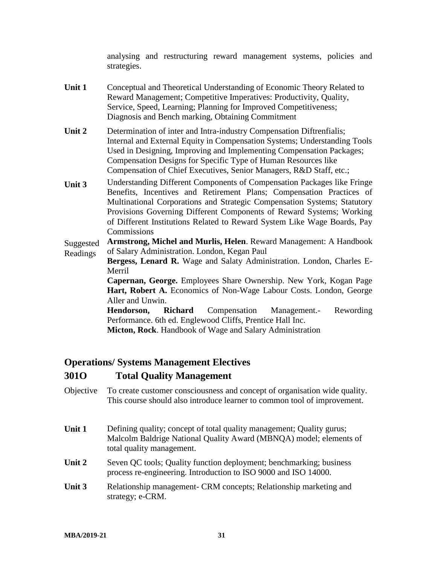analysing and restructuring reward management systems, policies and strategies.

- **Unit 1** Conceptual and Theoretical Understanding of Economic Theory Related to Reward Management; Competitive Imperatives: Productivity, Quality, Service, Speed, Learning; Planning for Improved Competitiveness; Diagnosis and Bench marking, Obtaining Commitment
- **Unit 2** Determination of inter and Intra-industry Compensation Diftrenfialis; Internal and External Equity in Compensation Systems; Understanding Tools Used in Designing, Improving and Implementing Compensation Packages; Compensation Designs for Specific Type of Human Resources like Compensation of Chief Executives, Senior Managers, R&D Staff, etc.;
- **Unit 3** Understanding Different Components of Compensation Packages like Fringe Benefits, Incentives and Retirement Plans; Compensation Practices of Multinational Corporations and Strategic Compensation Systems; Statutory Provisions Governing Different Components of Reward Systems; Working of Different Institutions Related to Reward System Like Wage Boards, Pay Commissions

Suggested Readings **Armstrong, Michel and Murlis, Helen**. Reward Management: A Handbook of Salary Administration. London, Kegan Paul

**Bergess, Lenard R.** Wage and Salaty Administration. London, Charles E-Merril

**Capernan, George.** Employees Share Ownership. New York, Kogan Page Hart, Robert A. Economics of Non-Wage Labour Costs. London, George Aller and Unwin.

**Hendorson, Richard** Compensation Management.- Rewording Performance. 6th ed. Englewood Cliffs, Prentice Hall Inc.

**Micton, Rock**. Handbook of Wage and Salary Administration

#### **Operations/ Systems Management Electives**

#### **301O Total Quality Management**

- Objective To create customer consciousness and concept of organisation wide quality. This course should also introduce learner to common tool of improvement.
- **Unit 1** Defining quality; concept of total quality management; Quality gurus; Malcolm Baldrige National Quality Award (MBNQA) model; elements of total quality management.
- **Unit 2** Seven QC tools; Quality function deployment; benchmarking; business process re-engineering. Introduction to ISO 9000 and ISO 14000.
- **Unit 3** Relationship management- CRM concepts; Relationship marketing and strategy; e-CRM.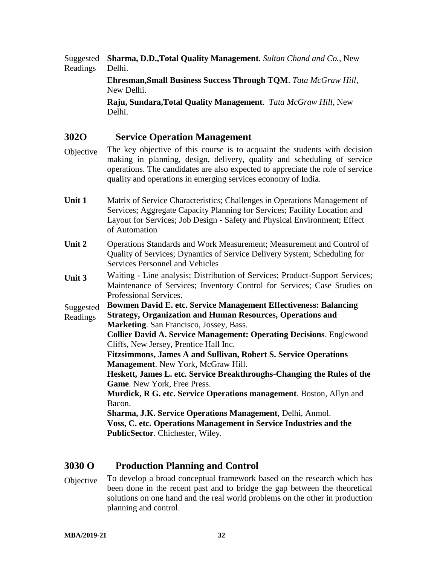Suggested Readings **Sharma, D.D.,Total Quality Management**. *Sultan Chand and Co.*, New Delhi.

> **Ehresman,Small Business Success Through TQM**. *Tata McGraw Hill*, New Delhi.

**Raju, Sundara,Total Quality Management**. *Tata McGraw Hill*, New Delhi.

#### **302O Service Operation Management**

- Objective The key objective of this course is to acquaint the students with decision making in planning, design, delivery, quality and scheduling of service operations. The candidates are also expected to appreciate the role of service quality and operations in emerging services economy of India.
- **Unit 1** Matrix of Service Characteristics; Challenges in Operations Management of Services; Aggregate Capacity Planning for Services; Facility Location and Layout for Services; Job Design - Safety and Physical Environment; Effect of Automation
- **Unit 2** Operations Standards and Work Measurement; Measurement and Control of Quality of Services; Dynamics of Service Delivery System; Scheduling for Services Personnel and Vehicles
- **Unit 3** Waiting Line analysis; Distribution of Services; Product-Support Services; Maintenance of Services; Inventory Control for Services; Case Studies on Professional Services.

**Suggested Bowmen David E. etc. Service Management Effectiveness: Balancing**

Readings **Strategy, Organization and Human Resources, Operations and Marketing**. San Francisco, Jossey, Bass.

> **Collier David A. Service Management: Operating Decisions**. Englewood Cliffs, New Jersey, Prentice Hall Inc.

**Fitzsimmons, James A and Sullivan, Robert S. Service Operations Management**. New York, McGraw Hill.

**Heskett, James L. etc. Service Breakthroughs-Changing the Rules of the Game**. New York, Free Press.

**Murdick, R G. etc. Service Operations management**. Boston, Allyn and Bacon.

**Sharma, J.K. Service Operations Management**, Delhi, Anmol.

**Voss, C. etc. Operations Management in Service Industries and the PublicSector**. Chichester, Wiley.

#### **3030 O Production Planning and Control**

Objective To develop a broad conceptual framework based on the research which has been done in the recent past and to bridge the gap between the theoretical solutions on one hand and the real world problems on the other in production planning and control.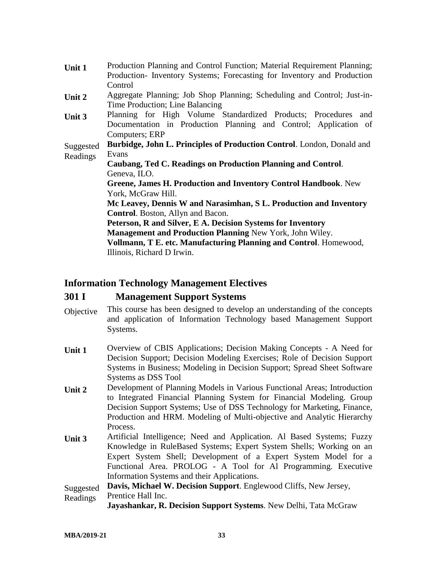| Unit 1    | Production Planning and Control Function; Material Requirement Planning; |
|-----------|--------------------------------------------------------------------------|
|           | Production-Inventory Systems; Forecasting for Inventory and Production   |
|           | Control                                                                  |
| Unit 2    | Aggregate Planning; Job Shop Planning; Scheduling and Control; Just-in-  |
|           | Time Production; Line Balancing                                          |
| Unit 3    | Planning for High Volume Standardized Products; Procedures and           |
|           | Documentation in Production Planning and Control; Application of         |
|           | Computers; ERP                                                           |
| Suggested | Burbidge, John L. Principles of Production Control. London, Donald and   |
| Readings  | Evans                                                                    |
|           | Caubang, Ted C. Readings on Production Planning and Control.             |
|           | Geneva, ILO.                                                             |
|           | Greene, James H. Production and Inventory Control Handbook. New          |
|           | York, McGraw Hill.                                                       |
|           | Mc Leavey, Dennis W and Narasimhan, S L. Production and Inventory        |
|           | <b>Control.</b> Boston, Allyn and Bacon.                                 |
|           | Peterson, R and Silver, E A. Decision Systems for Inventory              |
|           | Management and Production Planning New York, John Wiley.                 |
|           | Vollmann, T E. etc. Manufacturing Planning and Control. Homewood,        |
|           | Illinois, Richard D Irwin.                                               |

#### **Information Technology Management Electives**

#### **301 I Management Support Systems**

- Objective This course has been designed to develop an understanding of the concepts and application of Information Technology based Management Support Systems.
- **Unit 1** Overview of CBIS Applications; Decision Making Concepts A Need for Decision Support; Decision Modeling Exercises; Role of Decision Support Systems in Business; Modeling in Decision Support; Spread Sheet Software Systems as DSS Tool
- **Unit 2** Development of Planning Models in Various Functional Areas; Introduction to Integrated Financial Planning System for Financial Modeling. Group Decision Support Systems; Use of DSS Technology for Marketing, Finance, Production and HRM. Modeling of Multi-objective and Analytic Hierarchy Process.
- **Unit 3** Artificial Intelligence; Need and Application. Al Based Systems; Fuzzy Knowledge in RuleBased Systems; Expert System Shells; Working on an Expert System Shell; Development of a Expert System Model for a Functional Area. PROLOG - A Tool for Al Programming. Executive Information Systems and their Applications.

Suggested Readings **Davis, Michael W. Decision Support**. Englewood Cliffs, New Jersey, Prentice Hall Inc.

**Jayashankar, R. Decision Support Systems**. New Delhi, Tata McGraw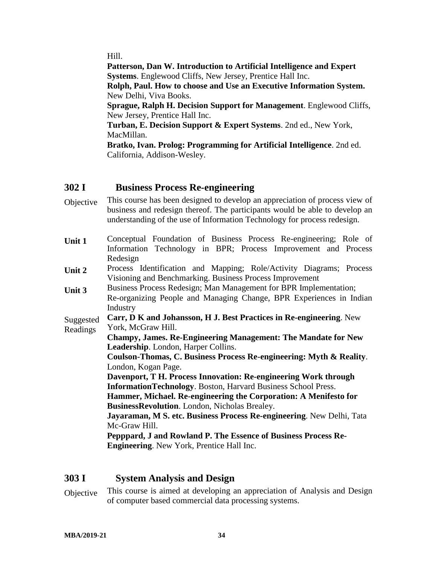Hill.

**Patterson, Dan W. Introduction to Artificial Intelligence and Expert Systems**. Englewood Cliffs, New Jersey, Prentice Hall Inc.

**Rolph, Paul. How to choose and Use an Executive Information System.** New Delhi, Viva Books.

**Sprague, Ralph H. Decision Support for Management**. Englewood Cliffs, New Jersey, Prentice Hall Inc.

**Turban, E. Decision Support & Expert Systems**. 2nd ed., New York, MacMillan.

**Bratko, Ivan. Prolog: Programming for Artificial Intelligence**. 2nd ed. California, Addison-Wesley.

#### **302 I Business Process Re-engineering**

- Objective This course has been designed to develop an appreciation of process view of business and redesign thereof. The participants would be able to develop an understanding of the use of Information Technology for process redesign.
- **Unit 1** Conceptual Foundation of Business Process Re-engineering; Role of Information Technology in BPR; Process Improvement and Process Redesign
- **Unit 2** Process Identification and Mapping; Role/Activity Diagrams; Process Visioning and Benchmarking. Business Process Improvement
- **Unit 3** Business Process Redesign; Man Management for BPR Implementation; Re-organizing People and Managing Change, BPR Experiences in Indian Industry

Suggested Readings **Carr, D K and Johansson, H J. Best Practices in Re-engineering**. New York, McGraw Hill.

**Champy, James. Re-Engineering Management: The Mandate for New Leadership**. London, Harper Collins.

**Coulson-Thomas, C. Business Process Re-engineering: Myth & Reality**. London, Kogan Page.

**Davenport, T H. Process Innovation: Re-engineering Work through InformationTechnology**. Boston, Harvard Business School Press. **Hammer, Michael. Re-engineering the Corporation: A Menifesto for** 

**BusinessRevolution**. London, Nicholas Brealey.

**Jayaraman, M S. etc. Business Process Re-engineering**. New Delhi, Tata Mc-Graw Hill.

**Pepppard, J and Rowland P. The Essence of Business Process Re-Engineering**. New York, Prentice Hall Inc.

#### **303 I System Analysis and Design**

Objective This course is aimed at developing an appreciation of Analysis and Design of computer based commercial data processing systems.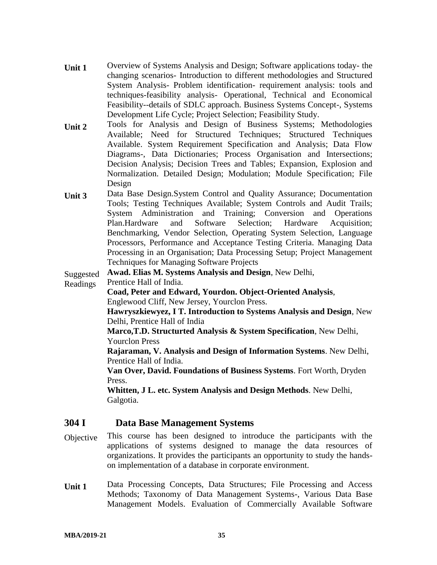- **Unit 1** Overview of Systems Analysis and Design; Software applications today- the changing scenarios- Introduction to different methodologies and Structured System Analysis- Problem identification- requirement analysis: tools and techniques-feasibility analysis- Operational, Technical and Economical Feasibility--details of SDLC approach. Business Systems Concept-, Systems Development Life Cycle; Project Selection; Feasibility Study.
- **Unit 2** Tools for Analysis and Design of Business Systems; Methodologies Available; Need for Structured Techniques; Structured Techniques Available. System Requirement Specification and Analysis; Data Flow Diagrams-, Data Dictionaries; Process Organisation and Intersections; Decision Analysis; Decision Trees and Tables; Expansion, Explosion and Normalization. Detailed Design; Modulation; Module Specification; File Design
- **Unit 3** Data Base Design.System Control and Quality Assurance; Documentation Tools; Testing Techniques Available; System Controls and Audit Trails; System Administration and Training; Conversion and Operations Plan.Hardware and Software Selection; Hardware Acquisition; Benchmarking, Vendor Selection, Operating System Selection, Language Processors, Performance and Acceptance Testing Criteria. Managing Data Processing in an Organisation; Data Processing Setup; Project Management Techniques for Managing Software Projects

Suggested **Awad. Elias M. Systems Analysis and Design**, New Delhi,

Readings Prentice Hall of India.

**Coad, Peter and Edward, Yourdon. Object-Oriented Analysis**, Englewood Cliff, New Jersey, Yourclon Press.

**Hawryszkiewyez, I T. Introduction to Systems Analysis and Design**, New Delhi, Prentice Hall of India

**Marco,T.D. Structurted Analysis & System Specification**, New Delhi, Yourclon Press

**Rajaraman, V. Analysis and Design of Information Systems**. New Delhi, Prentice Hall of India.

**Van Over, David. Foundations of Business Systems**. Fort Worth, Dryden Press.

**Whitten, J L. etc. System Analysis and Design Methods**. New Delhi, Galgotia.

#### **304 I Data Base Management Systems**

- Objective This course has been designed to introduce the participants with the applications of systems designed to manage the data resources of organizations. It provides the participants an opportunity to study the handson implementation of a database in corporate environment.
- **Unit 1** Data Processing Concepts, Data Structures; File Processing and Access Methods; Taxonomy of Data Management Systems-, Various Data Base Management Models. Evaluation of Commercially Available Software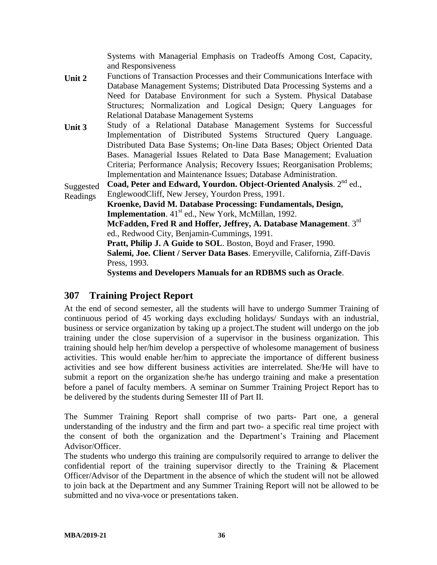Systems with Managerial Emphasis on Tradeoffs Among Cost, Capacity, and Responsiveness

- **Unit 2** Functions of Transaction Processes and their Communications Interface with Database Management Systems; Distributed Data Processing Systems and a Need for Database Environment for such a System. Physical Database Structures; Normalization and Logical Design; Query Languages for Relational Database Management Systems
- **Unit 3** Study of a Relational Database Management Systems for Successful Implementation of Distributed Systems Structured Query Language. Distributed Data Base Systems; On-line Data Bases; Object Oriented Data Bases. Managerial Issues Related to Data Base Management; Evaluation Criteria; Performance Analysis; Recovery Issues; Reorganisation Problems; Implementation and Maintenance Issues; Database Administration.

Suggested Coad, Peter and Edward, Yourdon. Object-Oriented Analysis. 2<sup>nd</sup> ed.,

Readings EnglewoodCliff, New Jersey, Yourdon Press, 1991. **Kroenke, David M. Database Processing: Fundamentals, Design, Implementation.** 41<sup>st</sup> ed., New York, McMillan, 1992. **McFadden, Fred R and Hoffer, Jeffrey, A. Database Management**. 3rd ed., Redwood City, Benjamin-Cummings, 1991. **Pratt, Philip J. A Guide to SOL**. Boston, Boyd and Fraser, 1990. **Salemi, Joe. Client / Server Data Bases**. Emeryville, California, Ziff-Davis Press, 1993. **Systems and Developers Manuals for an RDBMS such as Oracle**.

#### **307 Training Project Report**

At the end of second semester, all the students will have to undergo Summer Training of continuous period of 45 working days excluding holidays/ Sundays with an industrial, business or service organization by taking up a project.The student will undergo on the job training under the close supervision of a supervisor in the business organization. This training should help her/him develop a perspective of wholesome management of business activities. This would enable her/him to appreciate the importance of different business activities and see how different business activities are interrelated. She/He will have to submit a report on the organization she/he has undergo training and make a presentation before a panel of faculty members. A seminar on Summer Training Project Report has to be delivered by the students during Semester III of Part II.

The Summer Training Report shall comprise of two parts- Part one, a general understanding of the industry and the firm and part two- a specific real time project with the consent of both the organization and the Department's Training and Placement Advisor/Officer.

The students who undergo this training are compulsorily required to arrange to deliver the confidential report of the training supervisor directly to the Training & Placement Officer/Advisor of the Department in the absence of which the student will not be allowed to join back at the Department and any Summer Training Report will not be allowed to be submitted and no viva-voce or presentations taken.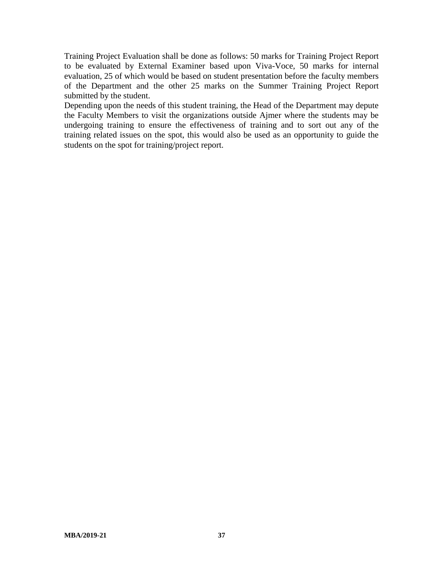Training Project Evaluation shall be done as follows: 50 marks for Training Project Report to be evaluated by External Examiner based upon Viva-Voce, 50 marks for internal evaluation, 25 of which would be based on student presentation before the faculty members of the Department and the other 25 marks on the Summer Training Project Report submitted by the student.

Depending upon the needs of this student training, the Head of the Department may depute the Faculty Members to visit the organizations outside Ajmer where the students may be undergoing training to ensure the effectiveness of training and to sort out any of the training related issues on the spot, this would also be used as an opportunity to guide the students on the spot for training/project report.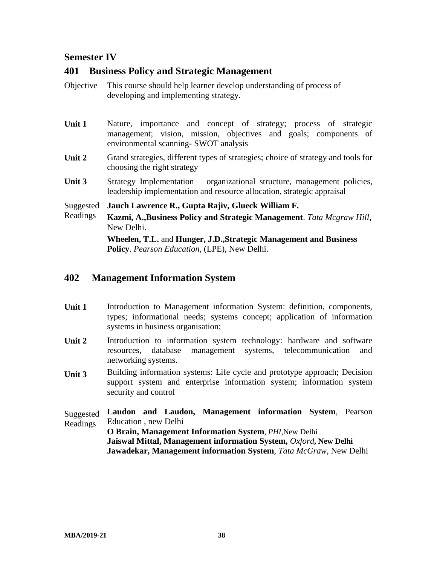#### **Semester IV**

#### **401 Business Policy and Strategic Management**

- Objective This course should help learner develop understanding of process of developing and implementing strategy.
- Unit 1 Nature, importance and concept of strategy; process of strategic management; vision, mission, objectives and goals; components of environmental scanning- SWOT analysis
- Unit 2 Grand strategies, different types of strategies; choice of strategy and tools for choosing the right strategy
- Unit 3 Strategy Implementation organizational structure, management policies, leadership implementation and resource allocation, strategic appraisal
- Suggested **Jauch Lawrence R., Gupta Rajiv, Glueck William F.**
- Readings **Kazmi, A.,Business Policy and Strategic Management**. *Tata Mcgraw Hill*, New Delhi.

**Wheelen, T.L.** and **Hunger, J.D.,Strategic Management and Business Policy**. *Pearson Education*, (LPE), New Delhi.

#### **402 Management Information System**

- **Unit 1** Introduction to Management information System: definition, components, types; informational needs; systems concept; application of information systems in business organisation;
- Unit 2 Introduction to information system technology: hardware and software resources, database management systems, telecommunication and networking systems.
- **Unit 3** Building information systems: Life cycle and prototype approach; Decision support system and enterprise information system; information system security and control

Suggested Readings **Laudon and Laudon, Management information System**, Pearson Education , new Delhi **O Brain, Management Information System**, *PHI,*New Delhi **Jaiswal Mittal, Management information System,** *Oxford***, New Delhi Jawadekar, Management information System**, *Tata McGraw*, New Delhi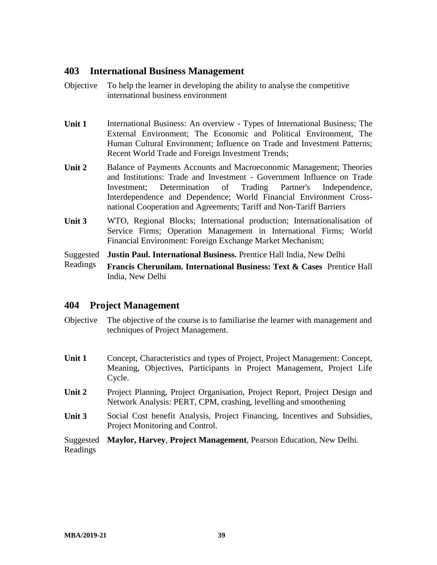#### **403 International Business Management**

- Objective To help the learner in developing the ability to analyse the competitive international business environment
- **Unit 1** International Business: An overview Types of International Business; The External Environment; The Economic and Political Environment, The Human Cultural Environment; Influence on Trade and Investment Patterns; Recent World Trade and Foreign Investment Trends;
- **Unit 2** Balance of Payments Accounts and Macroeconomic Management; Theories and Institutions: Trade and Investment - Government Influence on Trade Investment; Determination of Trading Partner's Independence, Interdependence and Dependence; World Financial Environment Crossnational Cooperation and Agreements; Tariff and Non-Tariff Barriers
- **Unit 3** WTO, Regional Blocks; International production; Internationalisation of Service Firms; Operation Management in International Firms; World Financial Environment: Foreign Exchange Market Mechanism;

Suggested **Justin Paul. International Business.** Prentice Hall India, New Delhi

Readings **Francis Cherunilam. International Business: Text & Cases** Prentice Hall India, New Delhi

#### **404 Project Management**

- Objective The objective of the course is to familiarise the learner with management and techniques of Project Management.
- **Unit 1** Concept, Characteristics and types of Project, Project Management: Concept, Meaning, Objectives, Participants in Project Management, Project Life Cycle.
- **Unit 2** Project Planning, Project Organisation, Project Report, Project Design and Network Analysis: PERT, CPM, crashing, levelling and smoothening
- Unit 3 Social Cost benefit Analysis, Project Financing, Incentives and Subsidies, Project Monitoring and Control.

Suggested **Maylor, Harvey**, **Project Management**, Pearson Education, New Delhi. Readings